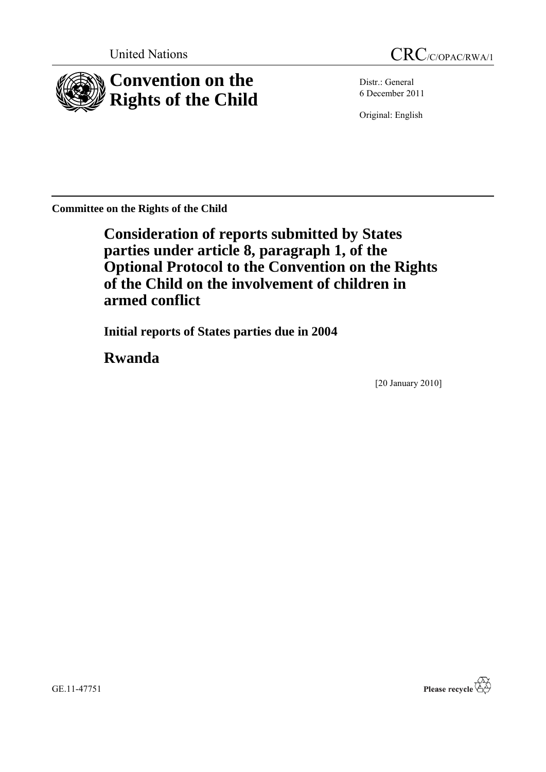

Distr.: General 6 December 2011

Original: English

**Committee on the Rights of the Child**

**Consideration of reports submitted by States parties under article 8, paragraph 1, of the Optional Protocol to the Convention on the Rights of the Child on the involvement of children in armed conflict**

**Initial reports of States parties due in 2004**

**Rwanda**

[20 January 2010]

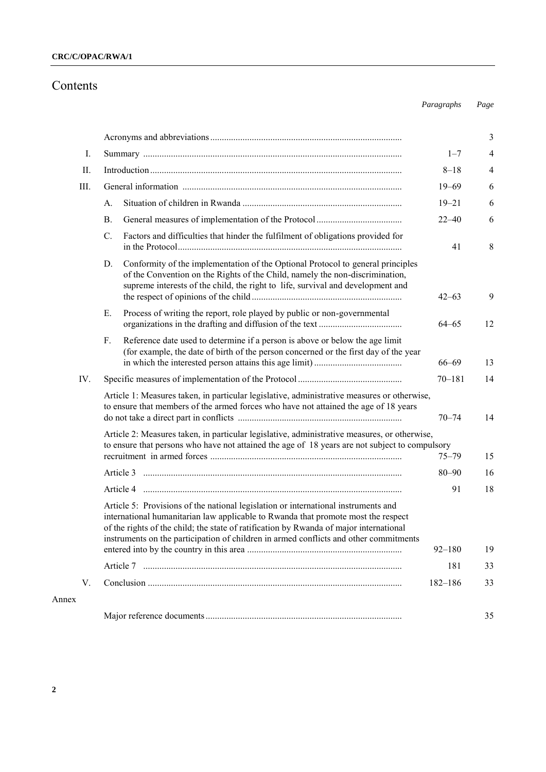# Contents

*Paragraphs Page*

|       |                                                                                                                                                                                                                                                                                                                                                            |             | 3  |  |
|-------|------------------------------------------------------------------------------------------------------------------------------------------------------------------------------------------------------------------------------------------------------------------------------------------------------------------------------------------------------------|-------------|----|--|
| Ι.    | $1 - 7$                                                                                                                                                                                                                                                                                                                                                    |             |    |  |
| П.    |                                                                                                                                                                                                                                                                                                                                                            | $8 - 18$    | 4  |  |
| III.  |                                                                                                                                                                                                                                                                                                                                                            | $19 - 69$   | 6  |  |
|       | A.                                                                                                                                                                                                                                                                                                                                                         | $19 - 21$   | 6  |  |
|       | <b>B</b> .                                                                                                                                                                                                                                                                                                                                                 | $22 - 40$   | 6  |  |
|       | C.<br>Factors and difficulties that hinder the fulfilment of obligations provided for                                                                                                                                                                                                                                                                      | 41          | 8  |  |
|       | Conformity of the implementation of the Optional Protocol to general principles<br>D.<br>of the Convention on the Rights of the Child, namely the non-discrimination,<br>supreme interests of the child, the right to life, survival and development and                                                                                                   | $42 - 63$   | 9  |  |
|       | Process of writing the report, role played by public or non-governmental<br>Е.                                                                                                                                                                                                                                                                             | $64 - 65$   | 12 |  |
|       | Reference date used to determine if a person is above or below the age limit<br>$F_{\cdot}$<br>(for example, the date of birth of the person concerned or the first day of the year                                                                                                                                                                        | $66 - 69$   | 13 |  |
| IV.   |                                                                                                                                                                                                                                                                                                                                                            | $70 - 181$  | 14 |  |
|       | Article 1: Measures taken, in particular legislative, administrative measures or otherwise,<br>to ensure that members of the armed forces who have not attained the age of 18 years<br>$70 - 74$<br>14                                                                                                                                                     |             |    |  |
|       | Article 2: Measures taken, in particular legislative, administrative measures, or otherwise,<br>to ensure that persons who have not attained the age of 18 years are not subject to compulsory<br>$75 - 79$<br>15                                                                                                                                          |             |    |  |
|       |                                                                                                                                                                                                                                                                                                                                                            | $80 - 90$   | 16 |  |
|       |                                                                                                                                                                                                                                                                                                                                                            | 91          | 18 |  |
|       | Article 5: Provisions of the national legislation or international instruments and<br>international humanitarian law applicable to Rwanda that promote most the respect<br>of the rights of the child; the state of ratification by Rwanda of major international<br>instruments on the participation of children in armed conflicts and other commitments | $92 - 180$  | 19 |  |
|       |                                                                                                                                                                                                                                                                                                                                                            | 181         | 33 |  |
| V.    |                                                                                                                                                                                                                                                                                                                                                            | $182 - 186$ | 33 |  |
| Annex |                                                                                                                                                                                                                                                                                                                                                            |             |    |  |
|       |                                                                                                                                                                                                                                                                                                                                                            |             | 35 |  |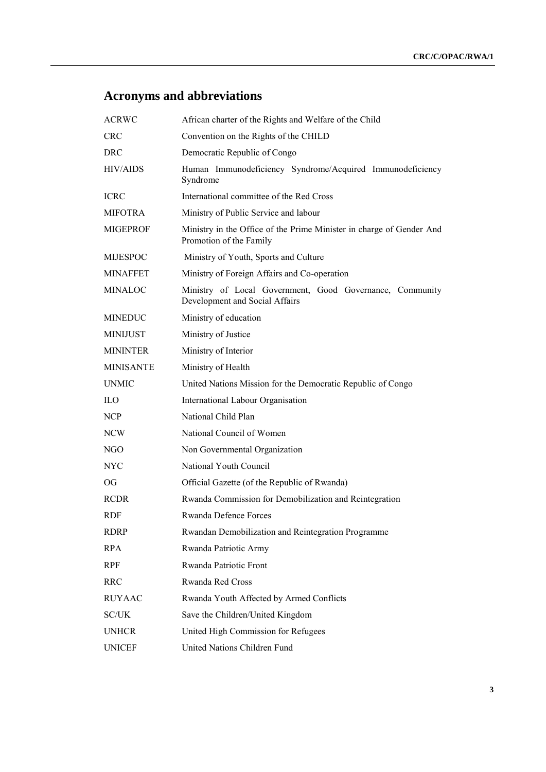# **Acronyms and abbreviations**

| <b>ACRWC</b>     | African charter of the Rights and Welfare of the Child                                          |
|------------------|-------------------------------------------------------------------------------------------------|
| <b>CRC</b>       | Convention on the Rights of the CHILD                                                           |
| <b>DRC</b>       | Democratic Republic of Congo                                                                    |
| <b>HIV/AIDS</b>  | Human Immunodeficiency Syndrome/Acquired Immunodeficiency<br>Syndrome                           |
| <b>ICRC</b>      | International committee of the Red Cross                                                        |
| <b>MIFOTRA</b>   | Ministry of Public Service and labour                                                           |
| <b>MIGEPROF</b>  | Ministry in the Office of the Prime Minister in charge of Gender And<br>Promotion of the Family |
| <b>MIJESPOC</b>  | Ministry of Youth, Sports and Culture                                                           |
| MINAFFET         | Ministry of Foreign Affairs and Co-operation                                                    |
| <b>MINALOC</b>   | Ministry of Local Government, Good Governance, Community<br>Development and Social Affairs      |
| <b>MINEDUC</b>   | Ministry of education                                                                           |
| <b>MINIJUST</b>  | Ministry of Justice                                                                             |
| <b>MININTER</b>  | Ministry of Interior                                                                            |
| <b>MINISANTE</b> | Ministry of Health                                                                              |
| <b>UNMIC</b>     | United Nations Mission for the Democratic Republic of Congo                                     |
| <b>ILO</b>       | International Labour Organisation                                                               |
| NCP              | National Child Plan                                                                             |
| NCW              | National Council of Women                                                                       |
| NGO              | Non Governmental Organization                                                                   |
| <b>NYC</b>       | National Youth Council                                                                          |
| OG.              | Official Gazette (of the Republic of Rwanda)                                                    |
| <b>RCDR</b>      | Rwanda Commission for Demobilization and Reintegration                                          |
| <b>RDF</b>       | Rwanda Defence Forces                                                                           |
| <b>RDRP</b>      | Rwandan Demobilization and Reintegration Programme                                              |
| <b>RPA</b>       | Rwanda Patriotic Army                                                                           |
| <b>RPF</b>       | Rwanda Patriotic Front                                                                          |
| <b>RRC</b>       | Rwanda Red Cross                                                                                |
| <b>RUYAAC</b>    | Rwanda Youth Affected by Armed Conflicts                                                        |
| SC/UK            | Save the Children/United Kingdom                                                                |
| <b>UNHCR</b>     | United High Commission for Refugees                                                             |
| <b>UNICEF</b>    | United Nations Children Fund                                                                    |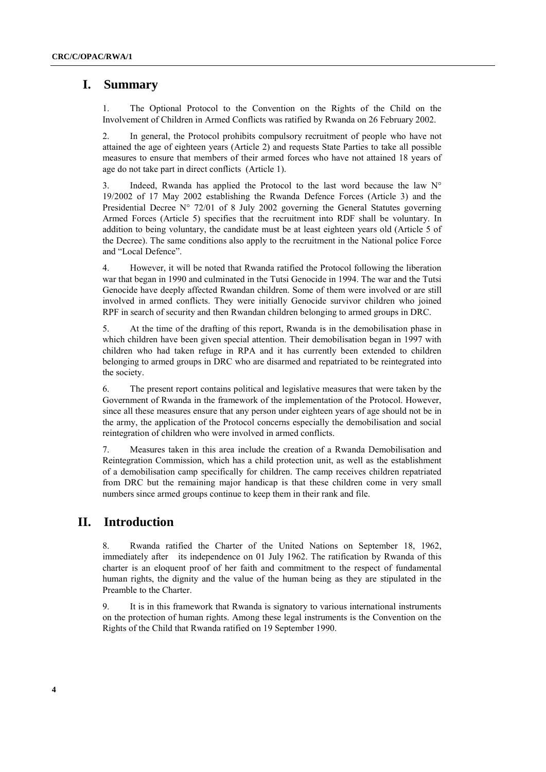# **I. Summary**

1. The Optional Protocol to the Convention on the Rights of the Child on the Involvement of Children in Armed Conflicts was ratified by Rwanda on 26 February 2002.

2. In general, the Protocol prohibits compulsory recruitment of people who have not attained the age of eighteen years (Article 2) and requests State Parties to take all possible measures to ensure that members of their armed forces who have not attained 18 years of age do not take part in direct conflicts (Article 1).

3. Indeed, Rwanda has applied the Protocol to the last word because the law  $N^{\circ}$ 19/2002 of 17 May 2002 establishing the Rwanda Defence Forces (Article 3) and the Presidential Decree N° 72/01 of 8 July 2002 governing the General Statutes governing Armed Forces (Article 5) specifies that the recruitment into RDF shall be voluntary. In addition to being voluntary, the candidate must be at least eighteen years old (Article 5 of the Decree). The same conditions also apply to the recruitment in the National police Force and "Local Defence".

4. However, it will be noted that Rwanda ratified the Protocol following the liberation war that began in 1990 and culminated in the Tutsi Genocide in 1994. The war and the Tutsi Genocide have deeply affected Rwandan children. Some of them were involved or are still involved in armed conflicts. They were initially Genocide survivor children who joined RPF in search of security and then Rwandan children belonging to armed groups in DRC.

5. At the time of the drafting of this report, Rwanda is in the demobilisation phase in which children have been given special attention. Their demobilisation began in 1997 with children who had taken refuge in RPA and it has currently been extended to children belonging to armed groups in DRC who are disarmed and repatriated to be reintegrated into the society.

6. The present report contains political and legislative measures that were taken by the Government of Rwanda in the framework of the implementation of the Protocol. However, since all these measures ensure that any person under eighteen years of age should not be in the army, the application of the Protocol concerns especially the demobilisation and social reintegration of children who were involved in armed conflicts.

7. Measures taken in this area include the creation of a Rwanda Demobilisation and Reintegration Commission, which has a child protection unit, as well as the establishment of a demobilisation camp specifically for children. The camp receives children repatriated from DRC but the remaining major handicap is that these children come in very small numbers since armed groups continue to keep them in their rank and file.

# **II. Introduction**

8. Rwanda ratified the Charter of the United Nations on September 18, 1962, immediately after its independence on 01 July 1962. The ratification by Rwanda of this charter is an eloquent proof of her faith and commitment to the respect of fundamental human rights, the dignity and the value of the human being as they are stipulated in the Preamble to the Charter.

9. It is in this framework that Rwanda is signatory to various international instruments on the protection of human rights. Among these legal instruments is the Convention on the Rights of the Child that Rwanda ratified on 19 September 1990.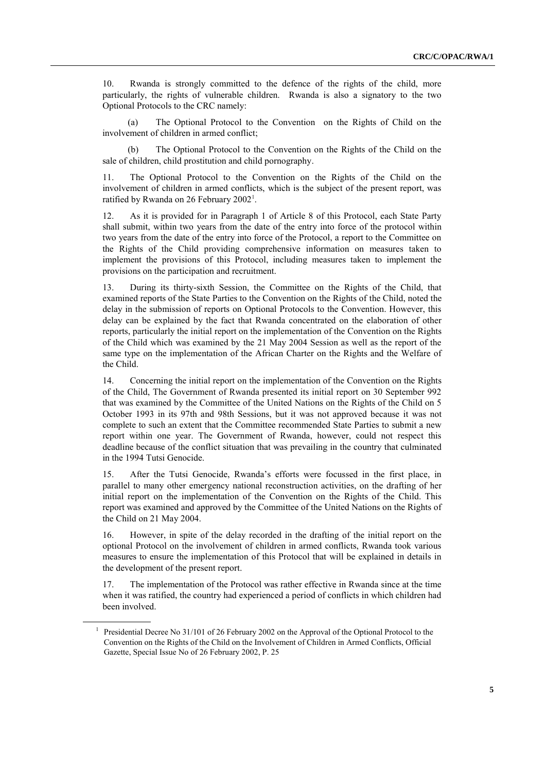10. Rwanda is strongly committed to the defence of the rights of the child, more particularly, the rights of vulnerable children. Rwanda is also a signatory to the two Optional Protocols to the CRC namely:

(a) The Optional Protocol to the Convention on the Rights of Child on the involvement of children in armed conflict;

(b) The Optional Protocol to the Convention on the Rights of the Child on the sale of children, child prostitution and child pornography.

11. The Optional Protocol to the Convention on the Rights of the Child on the involvement of children in armed conflicts, which is the subject of the present report, was ratified by Rwanda on 26 February 2002<sup>1</sup>.

12. As it is provided for in Paragraph 1 of Article 8 of this Protocol, each State Party shall submit, within two years from the date of the entry into force of the protocol within two years from the date of the entry into force of the Protocol, a report to the Committee on the Rights of the Child providing comprehensive information on measures taken to implement the provisions of this Protocol, including measures taken to implement the provisions on the participation and recruitment.

13. During its thirty-sixth Session, the Committee on the Rights of the Child, that examined reports of the State Parties to the Convention on the Rights of the Child, noted the delay in the submission of reports on Optional Protocols to the Convention. However, this delay can be explained by the fact that Rwanda concentrated on the elaboration of other reports, particularly the initial report on the implementation of the Convention on the Rights of the Child which was examined by the 21 May 2004 Session as well as the report of the same type on the implementation of the African Charter on the Rights and the Welfare of the Child.

14. Concerning the initial report on the implementation of the Convention on the Rights of the Child, The Government of Rwanda presented its initial report on 30 September 992 that was examined by the Committee of the United Nations on the Rights of the Child on 5 October 1993 in its 97th and 98th Sessions, but it was not approved because it was not complete to such an extent that the Committee recommended State Parties to submit a new report within one year. The Government of Rwanda, however, could not respect this deadline because of the conflict situation that was prevailing in the country that culminated in the 1994 Tutsi Genocide.

15. After the Tutsi Genocide, Rwanda's efforts were focussed in the first place, in parallel to many other emergency national reconstruction activities, on the drafting of her initial report on the implementation of the Convention on the Rights of the Child. This report was examined and approved by the Committee of the United Nations on the Rights of the Child on 21 May 2004.

16. However, in spite of the delay recorded in the drafting of the initial report on the optional Protocol on the involvement of children in armed conflicts, Rwanda took various measures to ensure the implementation of this Protocol that will be explained in details in the development of the present report.

17. The implementation of the Protocol was rather effective in Rwanda since at the time when it was ratified, the country had experienced a period of conflicts in which children had been involved.

<sup>1</sup> Presidential Decree No 31/101 of 26 February 2002 on the Approval of the Optional Protocol to the Convention on the Rights of the Child on the Involvement of Children in Armed Conflicts, Official Gazette, Special Issue No of 26 February 2002, P. 25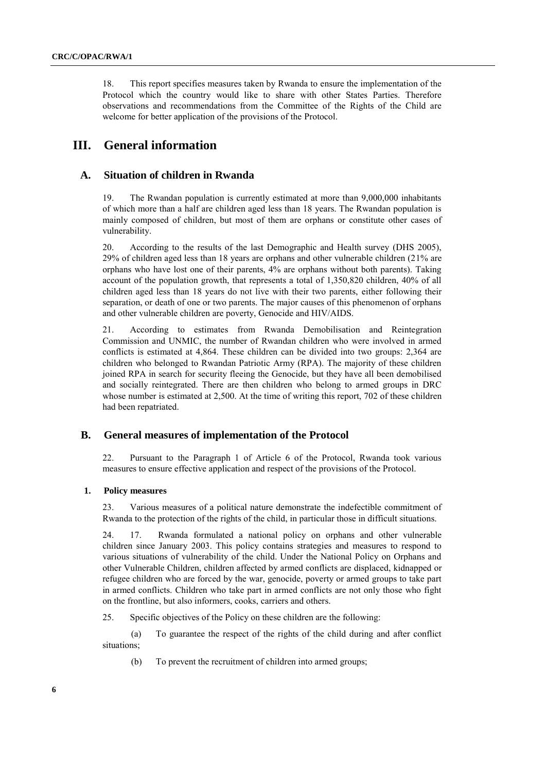18. This report specifies measures taken by Rwanda to ensure the implementation of the Protocol which the country would like to share with other States Parties. Therefore observations and recommendations from the Committee of the Rights of the Child are welcome for better application of the provisions of the Protocol.

# **III. General information**

### **A. Situation of children in Rwanda**

19. The Rwandan population is currently estimated at more than 9,000,000 inhabitants of which more than a half are children aged less than 18 years. The Rwandan population is mainly composed of children, but most of them are orphans or constitute other cases of vulnerability.

20. According to the results of the last Demographic and Health survey (DHS 2005), 29% of children aged less than 18 years are orphans and other vulnerable children (21% are orphans who have lost one of their parents, 4% are orphans without both parents). Taking account of the population growth, that represents a total of 1,350,820 children, 40% of all children aged less than 18 years do not live with their two parents, either following their separation, or death of one or two parents. The major causes of this phenomenon of orphans and other vulnerable children are poverty, Genocide and HIV/AIDS.

21. According to estimates from Rwanda Demobilisation and Reintegration Commission and UNMIC, the number of Rwandan children who were involved in armed conflicts is estimated at 4,864. These children can be divided into two groups: 2,364 are children who belonged to Rwandan Patriotic Army (RPA). The majority of these children joined RPA in search for security fleeing the Genocide, but they have all been demobilised and socially reintegrated. There are then children who belong to armed groups in DRC whose number is estimated at 2,500. At the time of writing this report, 702 of these children had been repatriated.

### **B. General measures of implementation of the Protocol**

22. Pursuant to the Paragraph 1 of Article 6 of the Protocol, Rwanda took various measures to ensure effective application and respect of the provisions of the Protocol.

### **1. Policy measures**

23. Various measures of a political nature demonstrate the indefectible commitment of Rwanda to the protection of the rights of the child, in particular those in difficult situations.

24. 17. Rwanda formulated a national policy on orphans and other vulnerable children since January 2003. This policy contains strategies and measures to respond to various situations of vulnerability of the child. Under the National Policy on Orphans and other Vulnerable Children, children affected by armed conflicts are displaced, kidnapped or refugee children who are forced by the war, genocide, poverty or armed groups to take part in armed conflicts. Children who take part in armed conflicts are not only those who fight on the frontline, but also informers, cooks, carriers and others.

25. Specific objectives of the Policy on these children are the following:

(a) To guarantee the respect of the rights of the child during and after conflict situations;

(b) To prevent the recruitment of children into armed groups;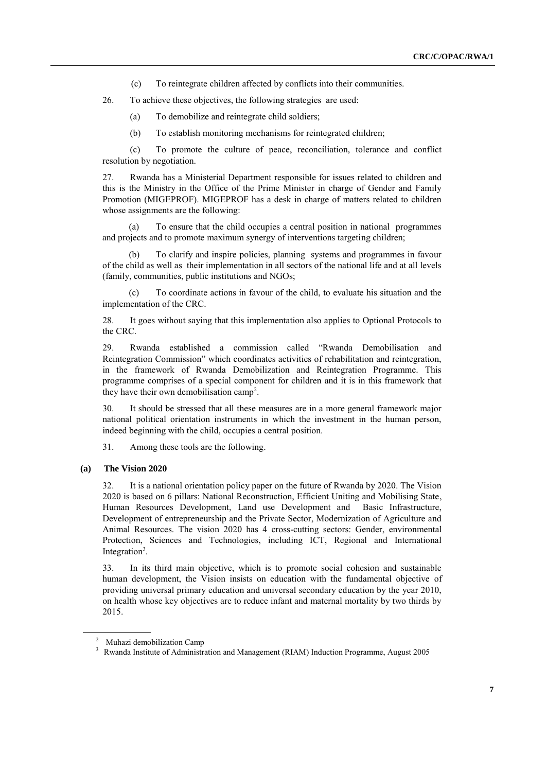- (c) To reintegrate children affected by conflicts into their communities.
- 26. To achieve these objectives, the following strategies are used:
	- (a) To demobilize and reintegrate child soldiers;
	- (b) To establish monitoring mechanisms for reintegrated children;

(c) To promote the culture of peace, reconciliation, tolerance and conflict resolution by negotiation.

27. Rwanda has a Ministerial Department responsible for issues related to children and this is the Ministry in the Office of the Prime Minister in charge of Gender and Family Promotion (MIGEPROF). MIGEPROF has a desk in charge of matters related to children whose assignments are the following:

(a) To ensure that the child occupies a central position in national programmes and projects and to promote maximum synergy of interventions targeting children;

(b) To clarify and inspire policies, planning systems and programmes in favour of the child as well as their implementation in all sectors of the national life and at all levels (family, communities, public institutions and NGOs;

(c) To coordinate actions in favour of the child, to evaluate his situation and the implementation of the CRC.

28. It goes without saying that this implementation also applies to Optional Protocols to the CRC.

29. Rwanda established a commission called "Rwanda Demobilisation and Reintegration Commission" which coordinates activities of rehabilitation and reintegration, in the framework of Rwanda Demobilization and Reintegration Programme. This programme comprises of a special component for children and it is in this framework that they have their own demobilisation camp<sup>2</sup>.

30. It should be stressed that all these measures are in a more general framework major national political orientation instruments in which the investment in the human person, indeed beginning with the child, occupies a central position.

31. Among these tools are the following.

### **(a) The Vision 2020**

32. It is a national orientation policy paper on the future of Rwanda by 2020. The Vision 2020 is based on 6 pillars: National Reconstruction, Efficient Uniting and Mobilising State, Human Resources Development, Land use Development and Basic Infrastructure, Development of entrepreneurship and the Private Sector, Modernization of Agriculture and Animal Resources. The vision 2020 has 4 cross-cutting sectors: Gender, environmental Protection, Sciences and Technologies, including ICT, Regional and International Integration<sup>3</sup>.

33. In its third main objective, which is to promote social cohesion and sustainable human development, the Vision insists on education with the fundamental objective of providing universal primary education and universal secondary education by the year 2010, on health whose key objectives are to reduce infant and maternal mortality by two thirds by 2015.

<sup>2</sup> Muhazi demobilization Camp

<sup>&</sup>lt;sup>3</sup> Rwanda Institute of Administration and Management (RIAM) Induction Programme, August 2005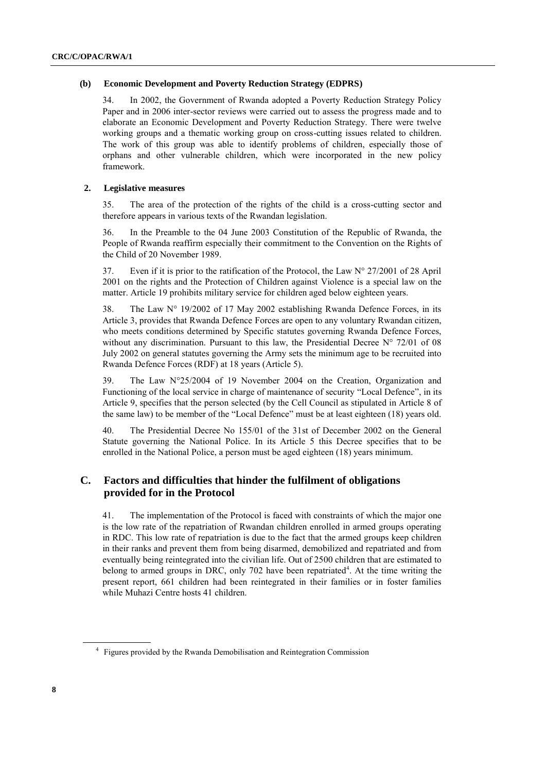### **(b) Economic Development and Poverty Reduction Strategy (EDPRS)**

34. In 2002, the Government of Rwanda adopted a Poverty Reduction Strategy Policy Paper and in 2006 inter-sector reviews were carried out to assess the progress made and to elaborate an Economic Development and Poverty Reduction Strategy. There were twelve working groups and a thematic working group on cross-cutting issues related to children. The work of this group was able to identify problems of children, especially those of orphans and other vulnerable children, which were incorporated in the new policy framework.

### **2. Legislative measures**

35. The area of the protection of the rights of the child is a cross-cutting sector and therefore appears in various texts of the Rwandan legislation.

36. In the Preamble to the 04 June 2003 Constitution of the Republic of Rwanda, the People of Rwanda reaffirm especially their commitment to the Convention on the Rights of the Child of 20 November 1989.

37. Even if it is prior to the ratification of the Protocol, the Law  $N^{\circ}$  27/2001 of 28 April 2001 on the rights and the Protection of Children against Violence is a special law on the matter. Article 19 prohibits military service for children aged below eighteen years.

38. The Law N° 19/2002 of 17 May 2002 establishing Rwanda Defence Forces, in its Article 3, provides that Rwanda Defence Forces are open to any voluntary Rwandan citizen, who meets conditions determined by Specific statutes governing Rwanda Defence Forces, without any discrimination. Pursuant to this law, the Presidential Decree  $N^{\circ}$  72/01 of 08 July 2002 on general statutes governing the Army sets the minimum age to be recruited into Rwanda Defence Forces (RDF) at 18 years (Article 5).

39. The Law N°25/2004 of 19 November 2004 on the Creation, Organization and Functioning of the local service in charge of maintenance of security "Local Defence", in its Article 9, specifies that the person selected (by the Cell Council as stipulated in Article 8 of the same law) to be member of the "Local Defence" must be at least eighteen (18) years old.

40. The Presidential Decree No 155/01 of the 31st of December 2002 on the General Statute governing the National Police. In its Article 5 this Decree specifies that to be enrolled in the National Police, a person must be aged eighteen (18) years minimum.

# **C. Factors and difficulties that hinder the fulfilment of obligations provided for in the Protocol**

41. The implementation of the Protocol is faced with constraints of which the major one is the low rate of the repatriation of Rwandan children enrolled in armed groups operating in RDC. This low rate of repatriation is due to the fact that the armed groups keep children in their ranks and prevent them from being disarmed, demobilized and repatriated and from eventually being reintegrated into the civilian life. Out of 2500 children that are estimated to belong to armed groups in DRC, only 702 have been repatriated<sup>4</sup>. At the time writing the present report, 661 children had been reintegrated in their families or in foster families while Muhazi Centre hosts 41 children.

<sup>&</sup>lt;sup>4</sup> Figures provided by the Rwanda Demobilisation and Reintegration Commission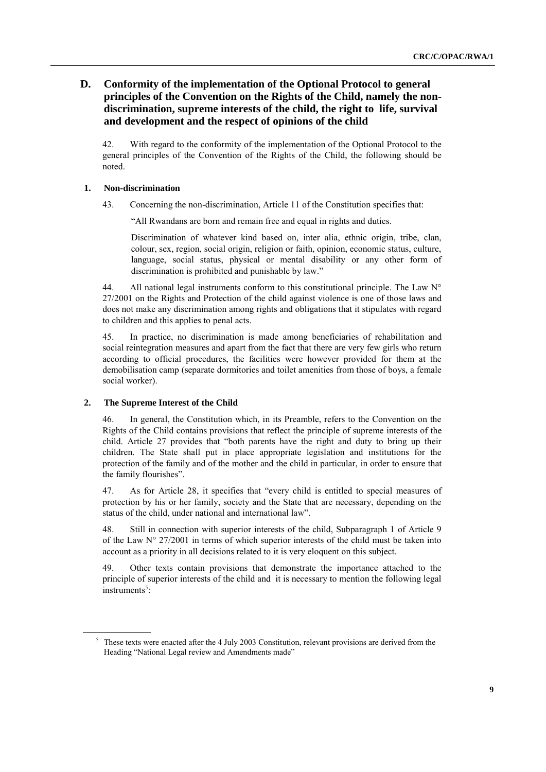# **D. Conformity of the implementation of the Optional Protocol to general principles of the Convention on the Rights of the Child, namely the nondiscrimination, supreme interests of the child, the right to life, survival and development and the respect of opinions of the child**

42. With regard to the conformity of the implementation of the Optional Protocol to the general principles of the Convention of the Rights of the Child, the following should be noted.

### **1. Non-discrimination**

43. Concerning the non-discrimination, Article 11 of the Constitution specifies that:

"All Rwandans are born and remain free and equal in rights and duties.

Discrimination of whatever kind based on, inter alia, ethnic origin, tribe, clan, colour, sex, region, social origin, religion or faith, opinion, economic status, culture, language, social status, physical or mental disability or any other form of discrimination is prohibited and punishable by law."

44. All national legal instruments conform to this constitutional principle. The Law  $N^{\circ}$ 27/2001 on the Rights and Protection of the child against violence is one of those laws and does not make any discrimination among rights and obligations that it stipulates with regard to children and this applies to penal acts.

45. In practice, no discrimination is made among beneficiaries of rehabilitation and social reintegration measures and apart from the fact that there are very few girls who return according to official procedures, the facilities were however provided for them at the demobilisation camp (separate dormitories and toilet amenities from those of boys, a female social worker).

### **2. The Supreme Interest of the Child**

46. In general, the Constitution which, in its Preamble, refers to the Convention on the Rights of the Child contains provisions that reflect the principle of supreme interests of the child. Article 27 provides that "both parents have the right and duty to bring up their children. The State shall put in place appropriate legislation and institutions for the protection of the family and of the mother and the child in particular, in order to ensure that the family flourishes".

47. As for Article 28, it specifies that "every child is entitled to special measures of protection by his or her family, society and the State that are necessary, depending on the status of the child, under national and international law".

48. Still in connection with superior interests of the child, Subparagraph 1 of Article 9 of the Law  $N^{\circ}$  27/2001 in terms of which superior interests of the child must be taken into account as a priority in all decisions related to it is very eloquent on this subject.

49. Other texts contain provisions that demonstrate the importance attached to the principle of superior interests of the child and it is necessary to mention the following legal instruments<sup>5</sup>:

<sup>&</sup>lt;sup>5</sup> These texts were enacted after the 4 July 2003 Constitution, relevant provisions are derived from the Heading "National Legal review and Amendments made"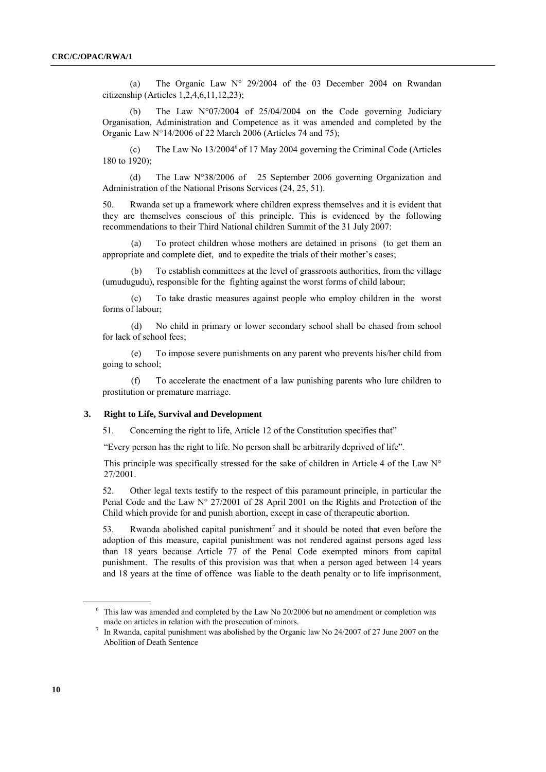(a) The Organic Law N° 29/2004 of the 03 December 2004 on Rwandan citizenship (Articles 1,2,4,6,11,12,23);

(b) The Law N°07/2004 of 25/04/2004 on the Code governing Judiciary Organisation, Administration and Competence as it was amended and completed by the Organic Law N°14/2006 of 22 March 2006 (Articles 74 and 75);

(c) The Law No  $13/2004^6$  of 17 May 2004 governing the Criminal Code (Articles 180 to 1920);

(d) The Law N°38/2006 of 25 September 2006 governing Organization and Administration of the National Prisons Services (24, 25, 51).

50. Rwanda set up a framework where children express themselves and it is evident that they are themselves conscious of this principle. This is evidenced by the following recommendations to their Third National children Summit of the 31 July 2007:

(a) To protect children whose mothers are detained in prisons (to get them an appropriate and complete diet, and to expedite the trials of their mother's cases;

(b) To establish committees at the level of grassroots authorities, from the village (umudugudu), responsible for the fighting against the worst forms of child labour;

(c) To take drastic measures against people who employ children in the worst forms of labour;

(d) No child in primary or lower secondary school shall be chased from school for lack of school fees;

(e) To impose severe punishments on any parent who prevents his/her child from going to school;

(f) To accelerate the enactment of a law punishing parents who lure children to prostitution or premature marriage.

#### **3. Right to Life, Survival and Development**

51. Concerning the right to life, Article 12 of the Constitution specifies that"

"Every person has the right to life. No person shall be arbitrarily deprived of life".

This principle was specifically stressed for the sake of children in Article 4 of the Law  $N^{\circ}$ 27/2001.

52. Other legal texts testify to the respect of this paramount principle, in particular the Penal Code and the Law N° 27/2001 of 28 April 2001 on the Rights and Protection of the Child which provide for and punish abortion, except in case of therapeutic abortion.

53. Rwanda abolished capital punishment<sup>7</sup> and it should be noted that even before the adoption of this measure, capital punishment was not rendered against persons aged less than 18 years because Article 77 of the Penal Code exempted minors from capital punishment. The results of this provision was that when a person aged between 14 years and 18 years at the time of offence was liable to the death penalty or to life imprisonment,

<sup>6</sup> This law was amended and completed by the Law No 20/2006 but no amendment or completion was made on articles in relation with the prosecution of minors.

<sup>7</sup> In Rwanda, capital punishment was abolished by the Organic law No 24/2007 of 27 June 2007 on the Abolition of Death Sentence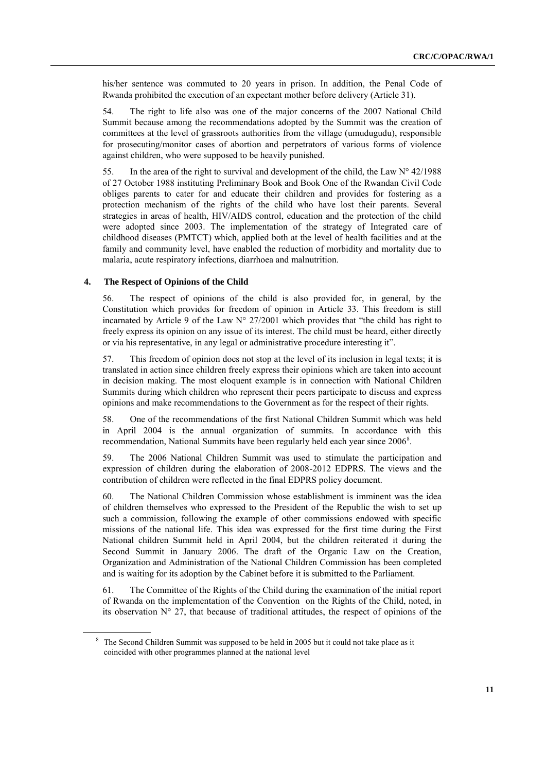his/her sentence was commuted to 20 years in prison. In addition, the Penal Code of Rwanda prohibited the execution of an expectant mother before delivery (Article 31).

54. The right to life also was one of the major concerns of the 2007 National Child Summit because among the recommendations adopted by the Summit was the creation of committees at the level of grassroots authorities from the village (umudugudu), responsible for prosecuting/monitor cases of abortion and perpetrators of various forms of violence against children, who were supposed to be heavily punished.

55. In the area of the right to survival and development of the child, the Law  $N^{\circ}$  42/1988 of 27 October 1988 instituting Preliminary Book and Book One of the Rwandan Civil Code obliges parents to cater for and educate their children and provides for fostering as a protection mechanism of the rights of the child who have lost their parents. Several strategies in areas of health, HIV/AIDS control, education and the protection of the child were adopted since 2003. The implementation of the strategy of Integrated care of childhood diseases (PMTCT) which, applied both at the level of health facilities and at the family and community level, have enabled the reduction of morbidity and mortality due to malaria, acute respiratory infections, diarrhoea and malnutrition.

#### **4. The Respect of Opinions of the Child**

56. The respect of opinions of the child is also provided for, in general, by the Constitution which provides for freedom of opinion in Article 33. This freedom is still incarnated by Article 9 of the Law  $N^{\circ}$  27/2001 which provides that "the child has right to freely express its opinion on any issue of its interest. The child must be heard, either directly or via his representative, in any legal or administrative procedure interesting it".

57. This freedom of opinion does not stop at the level of its inclusion in legal texts; it is translated in action since children freely express their opinions which are taken into account in decision making. The most eloquent example is in connection with National Children Summits during which children who represent their peers participate to discuss and express opinions and make recommendations to the Government as for the respect of their rights.

58. One of the recommendations of the first National Children Summit which was held in April 2004 is the annual organization of summits. In accordance with this recommendation, National Summits have been regularly held each year since 2006<sup>8</sup>.

59. The 2006 National Children Summit was used to stimulate the participation and expression of children during the elaboration of 2008-2012 EDPRS. The views and the contribution of children were reflected in the final EDPRS policy document.

60. The National Children Commission whose establishment is imminent was the idea of children themselves who expressed to the President of the Republic the wish to set up such a commission, following the example of other commissions endowed with specific missions of the national life. This idea was expressed for the first time during the First National children Summit held in April 2004, but the children reiterated it during the Second Summit in January 2006. The draft of the Organic Law on the Creation, Organization and Administration of the National Children Commission has been completed and is waiting for its adoption by the Cabinet before it is submitted to the Parliament.

61. The Committee of the Rights of the Child during the examination of the initial report of Rwanda on the implementation of the Convention on the Rights of the Child, noted, in its observation  $N^{\circ}$  27, that because of traditional attitudes, the respect of opinions of the

<sup>&</sup>lt;sup>8</sup> The Second Children Summit was supposed to be held in 2005 but it could not take place as it coincided with other programmes planned at the national level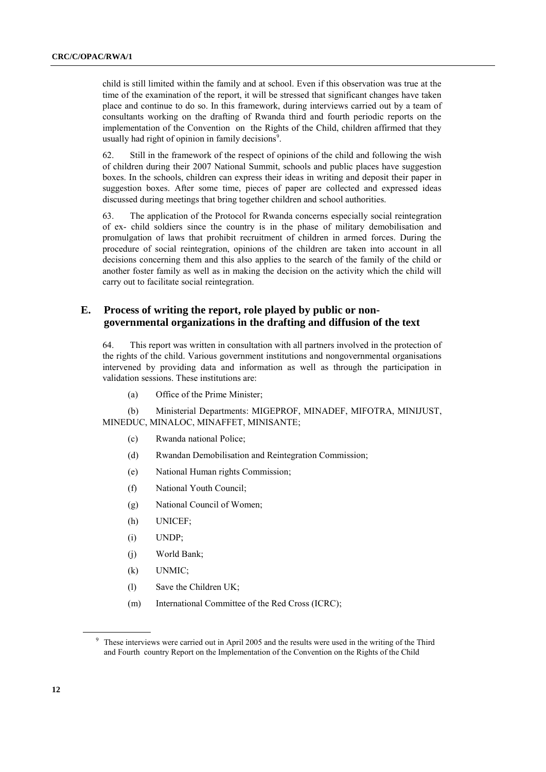child is still limited within the family and at school. Even if this observation was true at the time of the examination of the report, it will be stressed that significant changes have taken place and continue to do so. In this framework, during interviews carried out by a team of consultants working on the drafting of Rwanda third and fourth periodic reports on the implementation of the Convention on the Rights of the Child, children affirmed that they usually had right of opinion in family decisions<sup>9</sup>.

62. Still in the framework of the respect of opinions of the child and following the wish of children during their 2007 National Summit, schools and public places have suggestion boxes. In the schools, children can express their ideas in writing and deposit their paper in suggestion boxes. After some time, pieces of paper are collected and expressed ideas discussed during meetings that bring together children and school authorities.

63. The application of the Protocol for Rwanda concerns especially social reintegration of ex- child soldiers since the country is in the phase of military demobilisation and promulgation of laws that prohibit recruitment of children in armed forces. During the procedure of social reintegration, opinions of the children are taken into account in all decisions concerning them and this also applies to the search of the family of the child or another foster family as well as in making the decision on the activity which the child will carry out to facilitate social reintegration.

### **E. Process of writing the report, role played by public or nongovernmental organizations in the drafting and diffusion of the text**

64. This report was written in consultation with all partners involved in the protection of the rights of the child. Various government institutions and nongovernmental organisations intervened by providing data and information as well as through the participation in validation sessions. These institutions are:

(a) Office of the Prime Minister;

(b) Ministerial Departments: MIGEPROF, MINADEF, MIFOTRA, MINIJUST, MINEDUC, MINALOC, MINAFFET, MINISANTE;

- (c) Rwanda national Police;
- (d) Rwandan Demobilisation and Reintegration Commission;
- (e) National Human rights Commission;
- (f) National Youth Council;
- (g) National Council of Women;
- (h) UNICEF;
- (i) UNDP;
- (j) World Bank;
- (k) UNMIC;
- (l) Save the Children UK;
- (m) International Committee of the Red Cross (ICRC);

<sup>&</sup>lt;sup>9</sup> These interviews were carried out in April 2005 and the results were used in the writing of the Third and Fourth country Report on the Implementation of the Convention on the Rights of the Child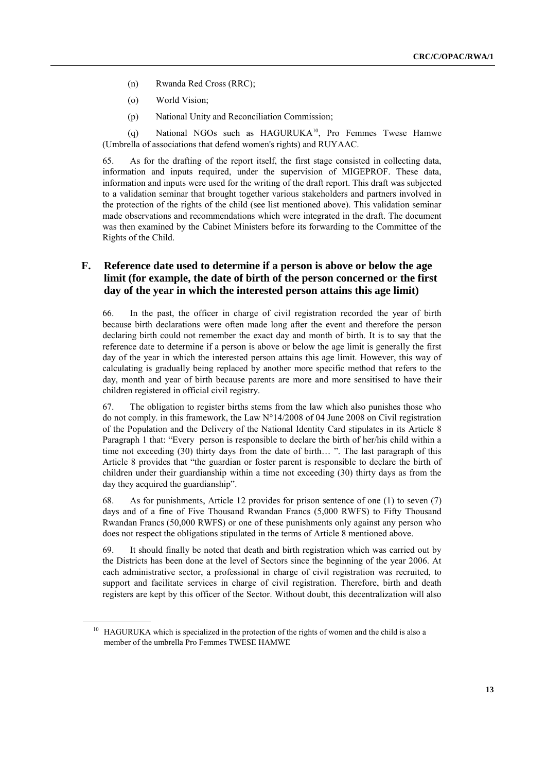- (n) Rwanda Red Cross (RRC);
- (o) World Vision;
- (p) National Unity and Reconciliation Commission;

(q) National NGOs such as HAGURUKA<sup>10</sup>, Pro Femmes Twese Hamwe (Umbrella of associations that defend women's rights) and RUYAAC.

65. As for the drafting of the report itself, the first stage consisted in collecting data, information and inputs required, under the supervision of MIGEPROF. These data, information and inputs were used for the writing of the draft report. This draft was subjected to a validation seminar that brought together various stakeholders and partners involved in the protection of the rights of the child (see list mentioned above). This validation seminar made observations and recommendations which were integrated in the draft. The document was then examined by the Cabinet Ministers before its forwarding to the Committee of the Rights of the Child.

# **F. Reference date used to determine if a person is above or below the age limit (for example, the date of birth of the person concerned or the first day of the year in which the interested person attains this age limit)**

66. In the past, the officer in charge of civil registration recorded the year of birth because birth declarations were often made long after the event and therefore the person declaring birth could not remember the exact day and month of birth. It is to say that the reference date to determine if a person is above or below the age limit is generally the first day of the year in which the interested person attains this age limit. However, this way of calculating is gradually being replaced by another more specific method that refers to the day, month and year of birth because parents are more and more sensitised to have their children registered in official civil registry.

67. The obligation to register births stems from the law which also punishes those who do not comply. in this framework, the Law N°14/2008 of 04 June 2008 on Civil registration of the Population and the Delivery of the National Identity Card stipulates in its Article 8 Paragraph 1 that: "Every person is responsible to declare the birth of her/his child within a time not exceeding (30) thirty days from the date of birth… ". The last paragraph of this Article 8 provides that "the guardian or foster parent is responsible to declare the birth of children under their guardianship within a time not exceeding (30) thirty days as from the day they acquired the guardianship".

68. As for punishments, Article 12 provides for prison sentence of one (1) to seven (7) days and of a fine of Five Thousand Rwandan Francs (5,000 RWFS) to Fifty Thousand Rwandan Francs (50,000 RWFS) or one of these punishments only against any person who does not respect the obligations stipulated in the terms of Article 8 mentioned above.

69. It should finally be noted that death and birth registration which was carried out by the Districts has been done at the level of Sectors since the beginning of the year 2006. At each administrative sector, a professional in charge of civil registration was recruited, to support and facilitate services in charge of civil registration. Therefore, birth and death registers are kept by this officer of the Sector. Without doubt, this decentralization will also

<sup>&</sup>lt;sup>10</sup> HAGURUKA which is specialized in the protection of the rights of women and the child is also a member of the umbrella Pro Femmes TWESE HAMWE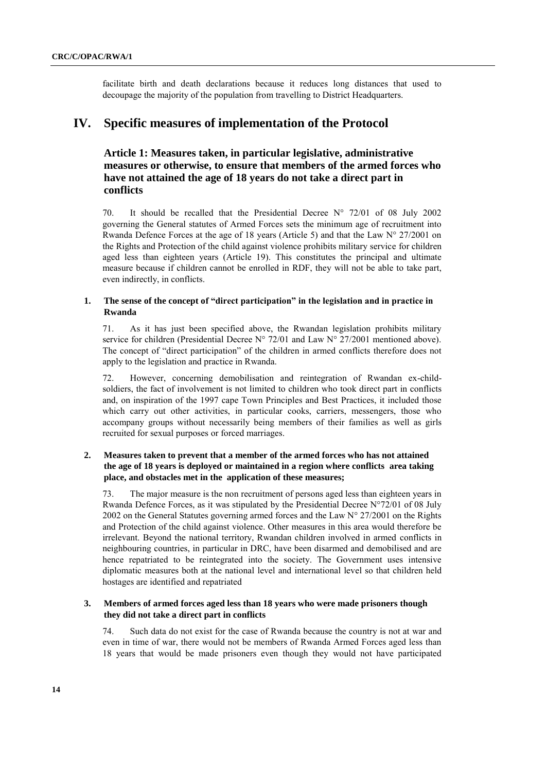facilitate birth and death declarations because it reduces long distances that used to decoupage the majority of the population from travelling to District Headquarters.

# **IV. Specific measures of implementation of the Protocol**

# **Article 1: Measures taken, in particular legislative, administrative measures or otherwise, to ensure that members of the armed forces who have not attained the age of 18 years do not take a direct part in conflicts**

70. It should be recalled that the Presidential Decree  $N^{\circ}$  72/01 of 08 July 2002 governing the General statutes of Armed Forces sets the minimum age of recruitment into Rwanda Defence Forces at the age of 18 years (Article 5) and that the Law N° 27/2001 on the Rights and Protection of the child against violence prohibits military service for children aged less than eighteen years (Article 19). This constitutes the principal and ultimate measure because if children cannot be enrolled in RDF, they will not be able to take part, even indirectly, in conflicts.

### **1. The sense of the concept of "direct participation" in the legislation and in practice in Rwanda**

71. As it has just been specified above, the Rwandan legislation prohibits military service for children (Presidential Decree N° 72/01 and Law N° 27/2001 mentioned above). The concept of "direct participation" of the children in armed conflicts therefore does not apply to the legislation and practice in Rwanda.

72. However, concerning demobilisation and reintegration of Rwandan ex-childsoldiers, the fact of involvement is not limited to children who took direct part in conflicts and, on inspiration of the 1997 cape Town Principles and Best Practices, it included those which carry out other activities, in particular cooks, carriers, messengers, those who accompany groups without necessarily being members of their families as well as girls recruited for sexual purposes or forced marriages.

### **2. Measures taken to prevent that a member of the armed forces who has not attained the age of 18 years is deployed or maintained in a region where conflicts area taking place, and obstacles met in the application of these measures;**

73. The major measure is the non recruitment of persons aged less than eighteen years in Rwanda Defence Forces, as it was stipulated by the Presidential Decree  $N^{\circ}72/01$  of 08 July 2002 on the General Statutes governing armed forces and the Law N° 27/2001 on the Rights and Protection of the child against violence. Other measures in this area would therefore be irrelevant. Beyond the national territory, Rwandan children involved in armed conflicts in neighbouring countries, in particular in DRC, have been disarmed and demobilised and are hence repatriated to be reintegrated into the society. The Government uses intensive diplomatic measures both at the national level and international level so that children held hostages are identified and repatriated

### **3. Members of armed forces aged less than 18 years who were made prisoners though they did not take a direct part in conflicts**

74. Such data do not exist for the case of Rwanda because the country is not at war and even in time of war, there would not be members of Rwanda Armed Forces aged less than 18 years that would be made prisoners even though they would not have participated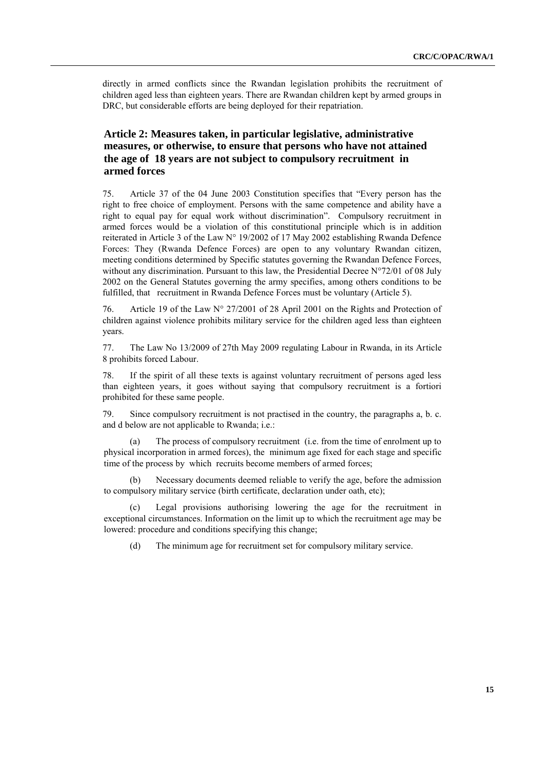directly in armed conflicts since the Rwandan legislation prohibits the recruitment of children aged less than eighteen years. There are Rwandan children kept by armed groups in DRC, but considerable efforts are being deployed for their repatriation.

# **Article 2: Measures taken, in particular legislative, administrative measures, or otherwise, to ensure that persons who have not attained the age of 18 years are not subject to compulsory recruitment in armed forces**

75. Article 37 of the 04 June 2003 Constitution specifies that "Every person has the right to free choice of employment. Persons with the same competence and ability have a right to equal pay for equal work without discrimination". Compulsory recruitment in armed forces would be a violation of this constitutional principle which is in addition reiterated in Article 3 of the Law N° 19/2002 of 17 May 2002 establishing Rwanda Defence Forces: They (Rwanda Defence Forces) are open to any voluntary Rwandan citizen, meeting conditions determined by Specific statutes governing the Rwandan Defence Forces, without any discrimination. Pursuant to this law, the Presidential Decree N°72/01 of 08 July 2002 on the General Statutes governing the army specifies, among others conditions to be fulfilled, that recruitment in Rwanda Defence Forces must be voluntary (Article 5).

76. Article 19 of the Law N° 27/2001 of 28 April 2001 on the Rights and Protection of children against violence prohibits military service for the children aged less than eighteen years.

77. The Law No 13/2009 of 27th May 2009 regulating Labour in Rwanda, in its Article 8 prohibits forced Labour.

78. If the spirit of all these texts is against voluntary recruitment of persons aged less than eighteen years, it goes without saying that compulsory recruitment is a fortiori prohibited for these same people.

79. Since compulsory recruitment is not practised in the country, the paragraphs a, b. c. and d below are not applicable to Rwanda; i.e.:

(a) The process of compulsory recruitment (i.e. from the time of enrolment up to physical incorporation in armed forces), the minimum age fixed for each stage and specific time of the process by which recruits become members of armed forces;

(b) Necessary documents deemed reliable to verify the age, before the admission to compulsory military service (birth certificate, declaration under oath, etc);

(c) Legal provisions authorising lowering the age for the recruitment in exceptional circumstances. Information on the limit up to which the recruitment age may be lowered: procedure and conditions specifying this change;

(d) The minimum age for recruitment set for compulsory military service.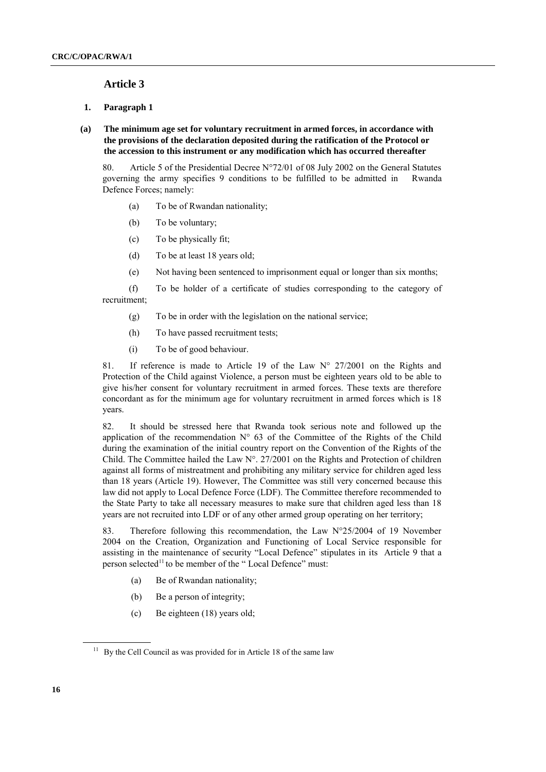### **Article 3**

### **1. Paragraph 1**

### **(a) The minimum age set for voluntary recruitment in armed forces, in accordance with the provisions of the declaration deposited during the ratification of the Protocol or the accession to this instrument or any modification which has occurred thereafter**

80. Article 5 of the Presidential Decree N°72/01 of 08 July 2002 on the General Statutes governing the army specifies 9 conditions to be fulfilled to be admitted in Rwanda Defence Forces; namely:

- (a) To be of Rwandan nationality;
- (b) To be voluntary;
- (c) To be physically fit;
- (d) To be at least 18 years old;
- (e) Not having been sentenced to imprisonment equal or longer than six months;
- (f) To be holder of a certificate of studies corresponding to the category of recruitment;
	- (g) To be in order with the legislation on the national service;
	- (h) To have passed recruitment tests;
	- (i) To be of good behaviour.

81. If reference is made to Article 19 of the Law N° 27/2001 on the Rights and Protection of the Child against Violence, a person must be eighteen years old to be able to give his/her consent for voluntary recruitment in armed forces. These texts are therefore concordant as for the minimum age for voluntary recruitment in armed forces which is 18 years.

82. It should be stressed here that Rwanda took serious note and followed up the application of the recommendation  $N^{\circ}$  63 of the Committee of the Rights of the Child during the examination of the initial country report on the Convention of the Rights of the Child. The Committee hailed the Law N°. 27/2001 on the Rights and Protection of children against all forms of mistreatment and prohibiting any military service for children aged less than 18 years (Article 19). However, The Committee was still very concerned because this law did not apply to Local Defence Force (LDF). The Committee therefore recommended to the State Party to take all necessary measures to make sure that children aged less than 18 years are not recruited into LDF or of any other armed group operating on her territory;

83. Therefore following this recommendation, the Law  $N^{\circ}25/2004$  of 19 November 2004 on the Creation, Organization and Functioning of Local Service responsible for assisting in the maintenance of security "Local Defence" stipulates in its Article 9 that a person selected<sup>11</sup> to be member of the "Local Defence" must:

- (a) Be of Rwandan nationality;
- (b) Be a person of integrity;
- (c) Be eighteen (18) years old;

 $11$  By the Cell Council as was provided for in Article 18 of the same law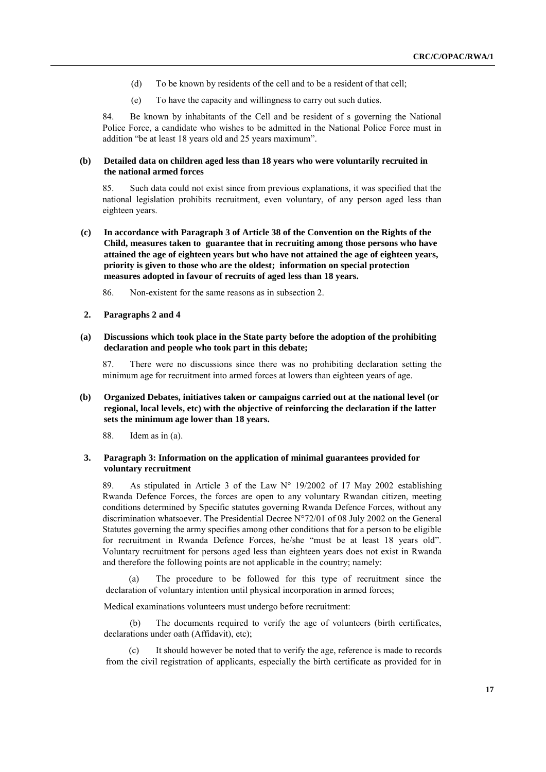- (d) To be known by residents of the cell and to be a resident of that cell;
- (e) To have the capacity and willingness to carry out such duties.

84. Be known by inhabitants of the Cell and be resident of s governing the National Police Force, a candidate who wishes to be admitted in the National Police Force must in addition "be at least 18 years old and 25 years maximum".

#### **(b) Detailed data on children aged less than 18 years who were voluntarily recruited in the national armed forces**

85. Such data could not exist since from previous explanations, it was specified that the national legislation prohibits recruitment, even voluntary, of any person aged less than eighteen years.

**(c) In accordance with Paragraph 3 of Article 38 of the Convention on the Rights of the Child, measures taken to guarantee that in recruiting among those persons who have attained the age of eighteen years but who have not attained the age of eighteen years, priority is given to those who are the oldest; information on special protection measures adopted in favour of recruits of aged less than 18 years.**

86. Non-existent for the same reasons as in subsection 2.

#### **2. Paragraphs 2 and 4**

**(a) Discussions which took place in the State party before the adoption of the prohibiting declaration and people who took part in this debate;** 

87. There were no discussions since there was no prohibiting declaration setting the minimum age for recruitment into armed forces at lowers than eighteen years of age.

**(b) Organized Debates, initiatives taken or campaigns carried out at the national level (or regional, local levels, etc) with the objective of reinforcing the declaration if the latter sets the minimum age lower than 18 years.** 

88. Idem as in (a).

### **3. Paragraph 3: Information on the application of minimal guarantees provided for voluntary recruitment**

89. As stipulated in Article 3 of the Law N° 19/2002 of 17 May 2002 establishing Rwanda Defence Forces, the forces are open to any voluntary Rwandan citizen, meeting conditions determined by Specific statutes governing Rwanda Defence Forces, without any discrimination whatsoever. The Presidential Decree N°72/01 of 08 July 2002 on the General Statutes governing the army specifies among other conditions that for a person to be eligible for recruitment in Rwanda Defence Forces, he/she "must be at least 18 years old". Voluntary recruitment for persons aged less than eighteen years does not exist in Rwanda and therefore the following points are not applicable in the country; namely:

(a) The procedure to be followed for this type of recruitment since the declaration of voluntary intention until physical incorporation in armed forces;

Medical examinations volunteers must undergo before recruitment:

(b) The documents required to verify the age of volunteers (birth certificates, declarations under oath (Affidavit), etc);

It should however be noted that to verify the age, reference is made to records from the civil registration of applicants, especially the birth certificate as provided for in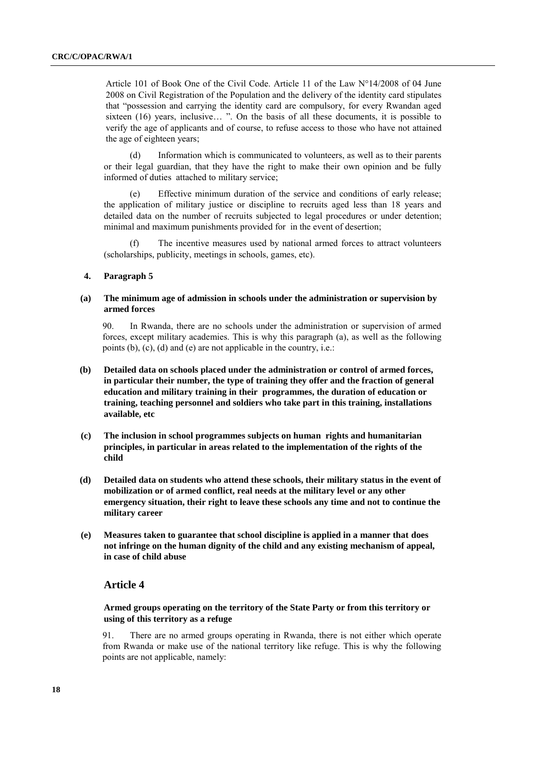Article 101 of Book One of the Civil Code. Article 11 of the Law N°14/2008 of 04 June 2008 on Civil Registration of the Population and the delivery of the identity card stipulates that "possession and carrying the identity card are compulsory, for every Rwandan aged sixteen (16) years, inclusive… ". On the basis of all these documents, it is possible to verify the age of applicants and of course, to refuse access to those who have not attained the age of eighteen years;

(d) Information which is communicated to volunteers, as well as to their parents or their legal guardian, that they have the right to make their own opinion and be fully informed of duties attached to military service;

(e) Effective minimum duration of the service and conditions of early release; the application of military justice or discipline to recruits aged less than 18 years and detailed data on the number of recruits subjected to legal procedures or under detention; minimal and maximum punishments provided for in the event of desertion;

The incentive measures used by national armed forces to attract volunteers (scholarships, publicity, meetings in schools, games, etc).

### **4. Paragraph 5**

### **(a) The minimum age of admission in schools under the administration or supervision by armed forces**

90. In Rwanda, there are no schools under the administration or supervision of armed forces, except military academies. This is why this paragraph (a), as well as the following points (b), (c), (d) and (e) are not applicable in the country, i.e.:

- **(b) Detailed data on schools placed under the administration or control of armed forces, in particular their number, the type of training they offer and the fraction of general education and military training in their programmes, the duration of education or training, teaching personnel and soldiers who take part in this training, installations available, etc**
- **(c) The inclusion in school programmes subjects on human rights and humanitarian principles, in particular in areas related to the implementation of the rights of the child**
- **(d) Detailed data on students who attend these schools, their military status in the event of mobilization or of armed conflict, real needs at the military level or any other emergency situation, their right to leave these schools any time and not to continue the military career**
- **(e) Measures taken to guarantee that school discipline is applied in a manner that does not infringe on the human dignity of the child and any existing mechanism of appeal, in case of child abuse**

### **Article 4**

### **Armed groups operating on the territory of the State Party or from this territory or using of this territory as a refuge**

91. There are no armed groups operating in Rwanda, there is not either which operate from Rwanda or make use of the national territory like refuge. This is why the following points are not applicable, namely: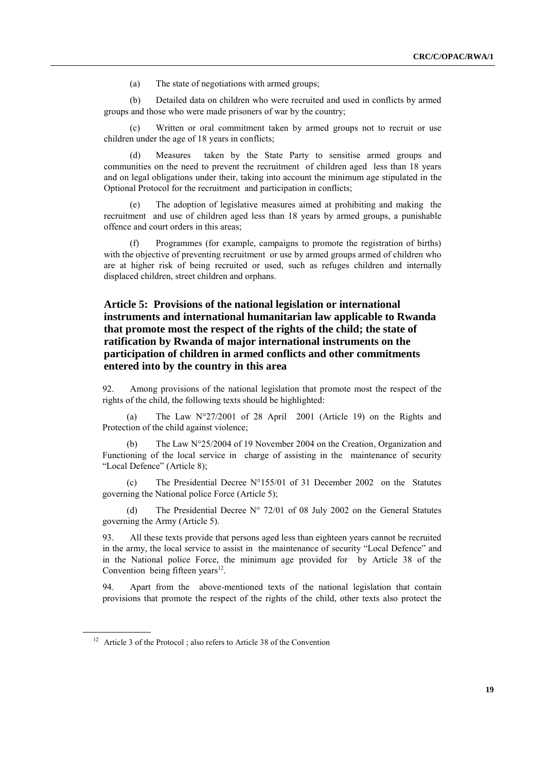(a) The state of negotiations with armed groups;

(b) Detailed data on children who were recruited and used in conflicts by armed groups and those who were made prisoners of war by the country;

(c) Written or oral commitment taken by armed groups not to recruit or use children under the age of 18 years in conflicts;

(d) Measures taken by the State Party to sensitise armed groups and communities on the need to prevent the recruitment of children aged less than 18 years and on legal obligations under their, taking into account the minimum age stipulated in the Optional Protocol for the recruitment and participation in conflicts;

(e) The adoption of legislative measures aimed at prohibiting and making the recruitment and use of children aged less than 18 years by armed groups, a punishable offence and court orders in this areas;

Programmes (for example, campaigns to promote the registration of births) with the objective of preventing recruitment or use by armed groups armed of children who are at higher risk of being recruited or used, such as refuges children and internally displaced children, street children and orphans.

# **Article 5: Provisions of the national legislation or international instruments and international humanitarian law applicable to Rwanda that promote most the respect of the rights of the child; the state of ratification by Rwanda of major international instruments on the participation of children in armed conflicts and other commitments entered into by the country in this area**

92. Among provisions of the national legislation that promote most the respect of the rights of the child, the following texts should be highlighted:

(a) The Law N°27/2001 of 28 April 2001 (Article 19) on the Rights and Protection of the child against violence;

(b) The Law N°25/2004 of 19 November 2004 on the Creation, Organization and Functioning of the local service in charge of assisting in the maintenance of security "Local Defence" (Article 8);

(c) The Presidential Decree N°155/01 of 31 December 2002 on the Statutes governing the National police Force (Article 5);

(d) The Presidential Decree N° 72/01 of 08 July 2002 on the General Statutes governing the Army (Article 5).

93. All these texts provide that persons aged less than eighteen years cannot be recruited in the army, the local service to assist in the maintenance of security "Local Defence" and in the National police Force, the minimum age provided for by Article 38 of the Convention being fifteen years $^{12}$ .

94. Apart from the above-mentioned texts of the national legislation that contain provisions that promote the respect of the rights of the child, other texts also protect the

<sup>&</sup>lt;sup>12</sup> Article 3 of the Protocol ; also refers to Article 38 of the Convention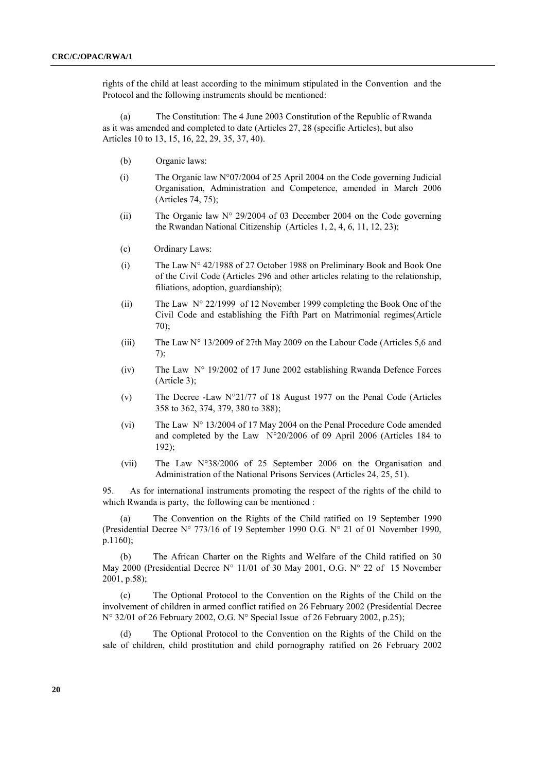rights of the child at least according to the minimum stipulated in the Convention and the Protocol and the following instruments should be mentioned:

(a) The Constitution: The 4 June 2003 Constitution of the Republic of Rwanda as it was amended and completed to date (Articles 27, 28 (specific Articles), but also Articles 10 to 13, 15, 16, 22, 29, 35, 37, 40).

- (b) Organic laws:
- (i) The Organic law  $N^{\circ}07/2004$  of 25 April 2004 on the Code governing Judicial Organisation, Administration and Competence, amended in March 2006 (Articles 74, 75);
- (ii) The Organic law  $N^{\circ}$  29/2004 of 03 December 2004 on the Code governing the Rwandan National Citizenship (Articles 1, 2, 4, 6, 11, 12, 23);
- (c) Ordinary Laws:
- (i) The Law N° 42/1988 of 27 October 1988 on Preliminary Book and Book One of the Civil Code (Articles 296 and other articles relating to the relationship, filiations, adoption, guardianship);
- (ii) The Law  $N^{\circ}$  22/1999 of 12 November 1999 completing the Book One of the Civil Code and establishing the Fifth Part on Matrimonial regimes(Article 70);
- (iii) The Law N° 13/2009 of 27th May 2009 on the Labour Code (Articles 5,6 and 7);
- (iv) The Law N° 19/2002 of 17 June 2002 establishing Rwanda Defence Forces (Article 3);
- (v) The Decree -Law N°21/77 of 18 August 1977 on the Penal Code (Articles 358 to 362, 374, 379, 380 to 388);
- (vi) The Law N° 13/2004 of 17 May 2004 on the Penal Procedure Code amended and completed by the Law N°20/2006 of 09 April 2006 (Articles 184 to 192);
- (vii) The Law N°38/2006 of 25 September 2006 on the Organisation and Administration of the National Prisons Services (Articles 24, 25, 51).

95. As for international instruments promoting the respect of the rights of the child to which Rwanda is party, the following can be mentioned :

(a) The Convention on the Rights of the Child ratified on 19 September 1990 (Presidential Decree N° 773/16 of 19 September 1990 O.G. N° 21 of 01 November 1990, p.1160);

(b) The African Charter on the Rights and Welfare of the Child ratified on 30 May 2000 (Presidential Decree  $N^{\circ}$  11/01 of 30 May 2001, O.G.  $N^{\circ}$  22 of 15 November 2001, p.58);

(c) The Optional Protocol to the Convention on the Rights of the Child on the involvement of children in armed conflict ratified on 26 February 2002 (Presidential Decree N° 32/01 of 26 February 2002, O.G. N° Special Issue of 26 February 2002, p.25);

The Optional Protocol to the Convention on the Rights of the Child on the sale of children, child prostitution and child pornography ratified on 26 February 2002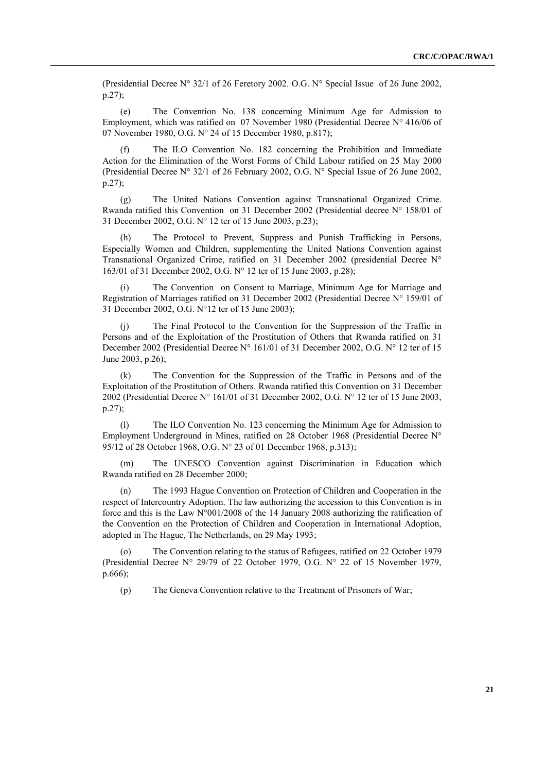(Presidential Decree N° 32/1 of 26 Feretory 2002. O.G. N° Special Issue of 26 June 2002, p.27);

(e) The Convention No. 138 concerning Minimum Age for Admission to Employment, which was ratified on 07 November 1980 (Presidential Decree N° 416/06 of 07 November 1980, O.G. N° 24 of 15 December 1980, p.817);

(f) The ILO Convention No. 182 concerning the Prohibition and Immediate Action for the Elimination of the Worst Forms of Child Labour ratified on 25 May 2000 (Presidential Decree N° 32/1 of 26 February 2002, O.G. N° Special Issue of 26 June 2002, p.27);

(g) The United Nations Convention against Transnational Organized Crime. Rwanda ratified this Convention on 31 December 2002 (Presidential decree N° 158/01 of 31 December 2002, O.G. N° 12 ter of 15 June 2003, p.23);

(h) The Protocol to Prevent, Suppress and Punish Trafficking in Persons, Especially Women and Children, supplementing the United Nations Convention against Transnational Organized Crime, ratified on 31 December 2002 (presidential Decree N° 163/01 of 31 December 2002, O.G. N° 12 ter of 15 June 2003, p.28);

The Convention on Consent to Marriage, Minimum Age for Marriage and Registration of Marriages ratified on 31 December 2002 (Presidential Decree N° 159/01 of 31 December 2002, O.G. N°12 ter of 15 June 2003);

(j) The Final Protocol to the Convention for the Suppression of the Traffic in Persons and of the Exploitation of the Prostitution of Others that Rwanda ratified on 31 December 2002 (Presidential Decree N° 161/01 of 31 December 2002, O.G. N° 12 ter of 15 June 2003, p.26);

(k) The Convention for the Suppression of the Traffic in Persons and of the Exploitation of the Prostitution of Others. Rwanda ratified this Convention on 31 December 2002 (Presidential Decree N° 161/01 of 31 December 2002, O.G. N° 12 ter of 15 June 2003, p.27);

(l) The ILO Convention No. 123 concerning the Minimum Age for Admission to Employment Underground in Mines, ratified on 28 October 1968 (Presidential Decree N° 95/12 of 28 October 1968, O.G. N° 23 of 01 December 1968, p.313);

(m) The UNESCO Convention against Discrimination in Education which Rwanda ratified on 28 December 2000;

(n) The 1993 Hague Convention on Protection of Children and Cooperation in the respect of Intercountry Adoption. The law authorizing the accession to this Convention is in force and this is the Law N°001/2008 of the 14 January 2008 authorizing the ratification of the Convention on the Protection of Children and Cooperation in International Adoption, adopted in The Hague, The Netherlands, on 29 May 1993;

(o) The Convention relating to the status of Refugees, ratified on 22 October 1979 (Presidential Decree N° 29/79 of 22 October 1979, O.G. N° 22 of 15 November 1979, p.666);

(p) The Geneva Convention relative to the Treatment of Prisoners of War;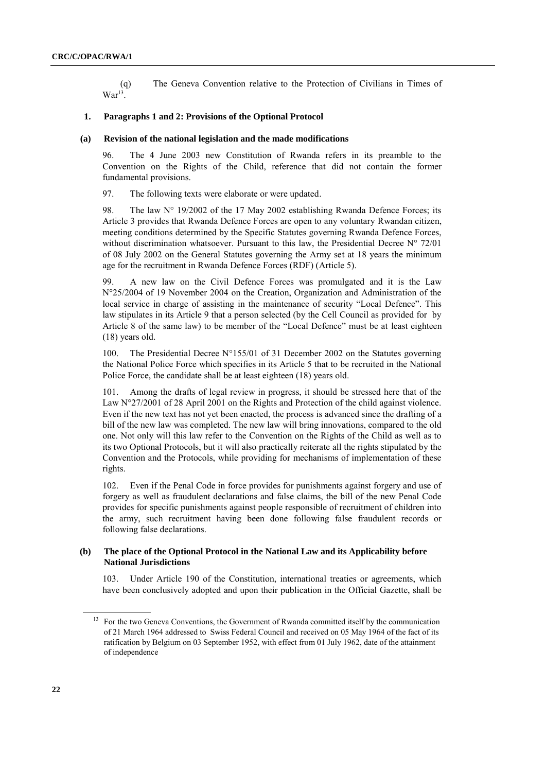(q) The Geneva Convention relative to the Protection of Civilians in Times of  $\text{War}^{13}$ .

### **1. Paragraphs 1 and 2: Provisions of the Optional Protocol**

#### **(a) Revision of the national legislation and the made modifications**

96. The 4 June 2003 new Constitution of Rwanda refers in its preamble to the Convention on the Rights of the Child, reference that did not contain the former fundamental provisions.

97. The following texts were elaborate or were updated.

98. The law N° 19/2002 of the 17 May 2002 establishing Rwanda Defence Forces; its Article 3 provides that Rwanda Defence Forces are open to any voluntary Rwandan citizen, meeting conditions determined by the Specific Statutes governing Rwanda Defence Forces, without discrimination whatsoever. Pursuant to this law, the Presidential Decree  $N^{\circ}$  72/01 of 08 July 2002 on the General Statutes governing the Army set at 18 years the minimum age for the recruitment in Rwanda Defence Forces (RDF) (Article 5).

99. A new law on the Civil Defence Forces was promulgated and it is the Law N°25/2004 of 19 November 2004 on the Creation, Organization and Administration of the local service in charge of assisting in the maintenance of security "Local Defence". This law stipulates in its Article 9 that a person selected (by the Cell Council as provided for by Article 8 of the same law) to be member of the "Local Defence" must be at least eighteen (18) years old.

100. The Presidential Decree N°155/01 of 31 December 2002 on the Statutes governing the National Police Force which specifies in its Article 5 that to be recruited in the National Police Force, the candidate shall be at least eighteen (18) years old.

101. Among the drafts of legal review in progress, it should be stressed here that of the Law N°27/2001 of 28 April 2001 on the Rights and Protection of the child against violence. Even if the new text has not yet been enacted, the process is advanced since the drafting of a bill of the new law was completed. The new law will bring innovations, compared to the old one. Not only will this law refer to the Convention on the Rights of the Child as well as to its two Optional Protocols, but it will also practically reiterate all the rights stipulated by the Convention and the Protocols, while providing for mechanisms of implementation of these rights.

102. Even if the Penal Code in force provides for punishments against forgery and use of forgery as well as fraudulent declarations and false claims, the bill of the new Penal Code provides for specific punishments against people responsible of recruitment of children into the army, such recruitment having been done following false fraudulent records or following false declarations.

### **(b) The place of the Optional Protocol in the National Law and its Applicability before National Jurisdictions**

103. Under Article 190 of the Constitution, international treaties or agreements, which have been conclusively adopted and upon their publication in the Official Gazette, shall be

<sup>&</sup>lt;sup>13</sup> For the two Geneva Conventions, the Government of Rwanda committed itself by the communication of 21 March 1964 addressed to Swiss Federal Council and received on 05 May 1964 of the fact of its ratification by Belgium on 03 September 1952, with effect from 01 July 1962, date of the attainment of independence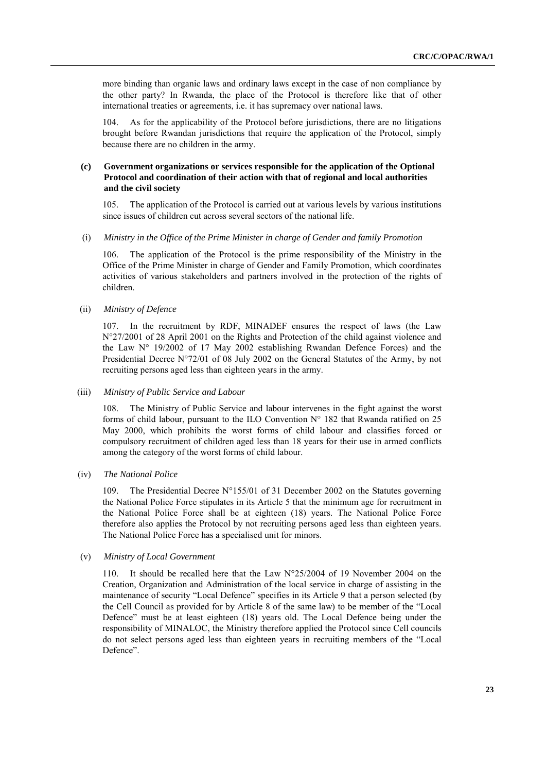more binding than organic laws and ordinary laws except in the case of non compliance by the other party? In Rwanda, the place of the Protocol is therefore like that of other international treaties or agreements, i.e. it has supremacy over national laws.

As for the applicability of the Protocol before jurisdictions, there are no litigations brought before Rwandan jurisdictions that require the application of the Protocol, simply because there are no children in the army.

### **(c) Government organizations or services responsible for the application of the Optional Protocol and coordination of their action with that of regional and local authorities and the civil society**

105. The application of the Protocol is carried out at various levels by various institutions since issues of children cut across several sectors of the national life.

#### (i) *Ministry in the Office of the Prime Minister in charge of Gender and family Promotion*

106. The application of the Protocol is the prime responsibility of the Ministry in the Office of the Prime Minister in charge of Gender and Family Promotion, which coordinates activities of various stakeholders and partners involved in the protection of the rights of children.

(ii) *Ministry of Defence*

107. In the recruitment by RDF, MINADEF ensures the respect of laws (the Law N°27/2001 of 28 April 2001 on the Rights and Protection of the child against violence and the Law N° 19/2002 of 17 May 2002 establishing Rwandan Defence Forces) and the Presidential Decree N°72/01 of 08 July 2002 on the General Statutes of the Army, by not recruiting persons aged less than eighteen years in the army.

#### (iii) *Ministry of Public Service and Labour*

108. The Ministry of Public Service and labour intervenes in the fight against the worst forms of child labour, pursuant to the ILO Convention  $N^{\circ}$  182 that Rwanda ratified on 25 May 2000, which prohibits the worst forms of child labour and classifies forced or compulsory recruitment of children aged less than 18 years for their use in armed conflicts among the category of the worst forms of child labour.

(iv) *The National Police* 

109. The Presidential Decree N°155/01 of 31 December 2002 on the Statutes governing the National Police Force stipulates in its Article 5 that the minimum age for recruitment in the National Police Force shall be at eighteen (18) years. The National Police Force therefore also applies the Protocol by not recruiting persons aged less than eighteen years. The National Police Force has a specialised unit for minors.

#### (v) *Ministry of Local Government*

It should be recalled here that the Law  $N^{\circ}25/2004$  of 19 November 2004 on the Creation, Organization and Administration of the local service in charge of assisting in the maintenance of security "Local Defence" specifies in its Article 9 that a person selected (by the Cell Council as provided for by Article 8 of the same law) to be member of the "Local Defence" must be at least eighteen (18) years old. The Local Defence being under the responsibility of MINALOC, the Ministry therefore applied the Protocol since Cell councils do not select persons aged less than eighteen years in recruiting members of the "Local Defence".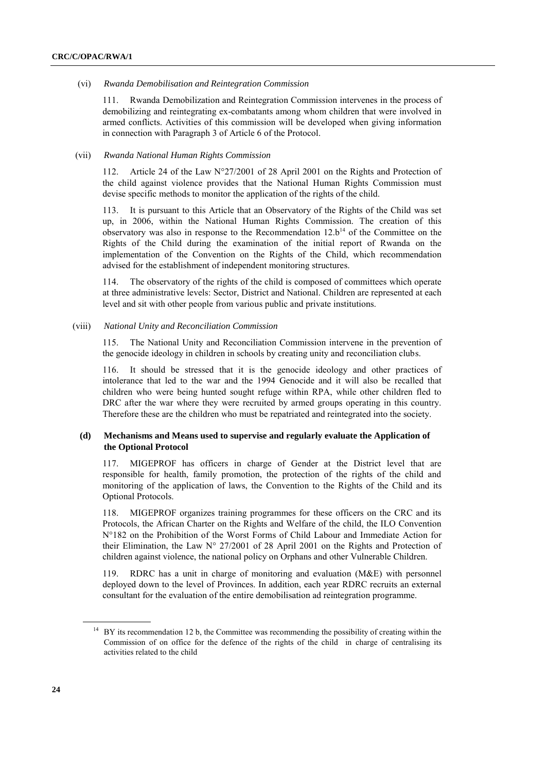#### (vi) *Rwanda Demobilisation and Reintegration Commission*

111. Rwanda Demobilization and Reintegration Commission intervenes in the process of demobilizing and reintegrating ex-combatants among whom children that were involved in armed conflicts. Activities of this commission will be developed when giving information in connection with Paragraph 3 of Article 6 of the Protocol.

### (vii) *Rwanda National Human Rights Commission*

112. Article 24 of the Law N°27/2001 of 28 April 2001 on the Rights and Protection of the child against violence provides that the National Human Rights Commission must devise specific methods to monitor the application of the rights of the child.

113. It is pursuant to this Article that an Observatory of the Rights of the Child was set up, in 2006, within the National Human Rights Commission. The creation of this observatory was also in response to the Recommendation  $12.b<sup>14</sup>$  of the Committee on the Rights of the Child during the examination of the initial report of Rwanda on the implementation of the Convention on the Rights of the Child, which recommendation advised for the establishment of independent monitoring structures.

114. The observatory of the rights of the child is composed of committees which operate at three administrative levels: Sector, District and National. Children are represented at each level and sit with other people from various public and private institutions.

### (viii) *National Unity and Reconciliation Commission*

115. The National Unity and Reconciliation Commission intervene in the prevention of the genocide ideology in children in schools by creating unity and reconciliation clubs.

116. It should be stressed that it is the genocide ideology and other practices of intolerance that led to the war and the 1994 Genocide and it will also be recalled that children who were being hunted sought refuge within RPA, while other children fled to DRC after the war where they were recruited by armed groups operating in this country. Therefore these are the children who must be repatriated and reintegrated into the society.

### **(d) Mechanisms and Means used to supervise and regularly evaluate the Application of the Optional Protocol**

117. MIGEPROF has officers in charge of Gender at the District level that are responsible for health, family promotion, the protection of the rights of the child and monitoring of the application of laws, the Convention to the Rights of the Child and its Optional Protocols.

118. MIGEPROF organizes training programmes for these officers on the CRC and its Protocols, the African Charter on the Rights and Welfare of the child, the ILO Convention N°182 on the Prohibition of the Worst Forms of Child Labour and Immediate Action for their Elimination, the Law N° 27/2001 of 28 April 2001 on the Rights and Protection of children against violence, the national policy on Orphans and other Vulnerable Children.

119. RDRC has a unit in charge of monitoring and evaluation (M&E) with personnel deployed down to the level of Provinces. In addition, each year RDRC recruits an external consultant for the evaluation of the entire demobilisation ad reintegration programme.

<sup>14</sup> BY its recommendation 12 b, the Committee was recommending the possibility of creating within the Commission of on office for the defence of the rights of the child in charge of centralising its activities related to the child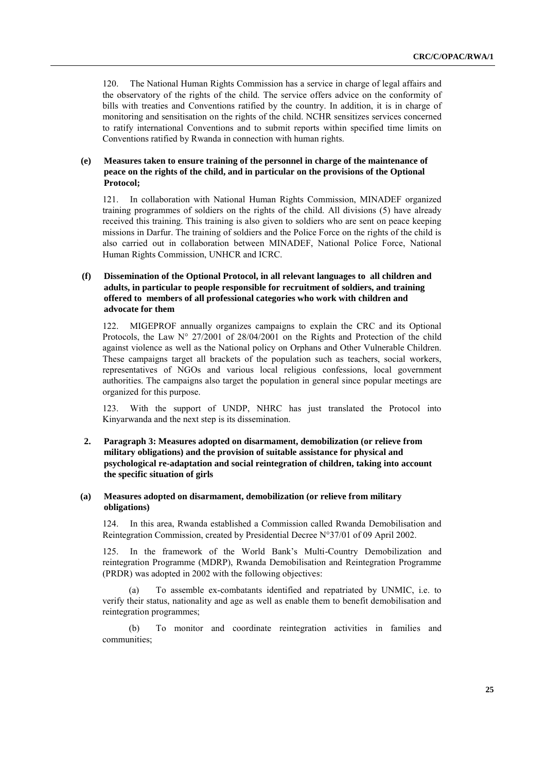120. The National Human Rights Commission has a service in charge of legal affairs and the observatory of the rights of the child. The service offers advice on the conformity of bills with treaties and Conventions ratified by the country. In addition, it is in charge of monitoring and sensitisation on the rights of the child. NCHR sensitizes services concerned to ratify international Conventions and to submit reports within specified time limits on Conventions ratified by Rwanda in connection with human rights.

### **(e) Measures taken to ensure training of the personnel in charge of the maintenance of peace on the rights of the child, and in particular on the provisions of the Optional Protocol;**

121. In collaboration with National Human Rights Commission, MINADEF organized training programmes of soldiers on the rights of the child. All divisions (5) have already received this training. This training is also given to soldiers who are sent on peace keeping missions in Darfur. The training of soldiers and the Police Force on the rights of the child is also carried out in collaboration between MINADEF, National Police Force, National Human Rights Commission, UNHCR and ICRC.

### **(f) Dissemination of the Optional Protocol, in all relevant languages to all children and adults, in particular to people responsible for recruitment of soldiers, and training offered to members of all professional categories who work with children and advocate for them**

122. MIGEPROF annually organizes campaigns to explain the CRC and its Optional Protocols, the Law  $N^{\circ}$  27/2001 of 28/04/2001 on the Rights and Protection of the child against violence as well as the National policy on Orphans and Other Vulnerable Children. These campaigns target all brackets of the population such as teachers, social workers, representatives of NGOs and various local religious confessions, local government authorities. The campaigns also target the population in general since popular meetings are organized for this purpose.

123. With the support of UNDP, NHRC has just translated the Protocol into Kinyarwanda and the next step is its dissemination.

**2. Paragraph 3: Measures adopted on disarmament, demobilization (or relieve from military obligations) and the provision of suitable assistance for physical and psychological re-adaptation and social reintegration of children, taking into account the specific situation of girls**

### **(a) Measures adopted on disarmament, demobilization (or relieve from military obligations)**

124. In this area, Rwanda established a Commission called Rwanda Demobilisation and Reintegration Commission, created by Presidential Decree N°37/01 of 09 April 2002.

125. In the framework of the World Bank's Multi-Country Demobilization and reintegration Programme (MDRP), Rwanda Demobilisation and Reintegration Programme (PRDR) was adopted in 2002 with the following objectives:

(a) To assemble ex-combatants identified and repatriated by UNMIC, i.e. to verify their status, nationality and age as well as enable them to benefit demobilisation and reintegration programmes;

(b) To monitor and coordinate reintegration activities in families and communities;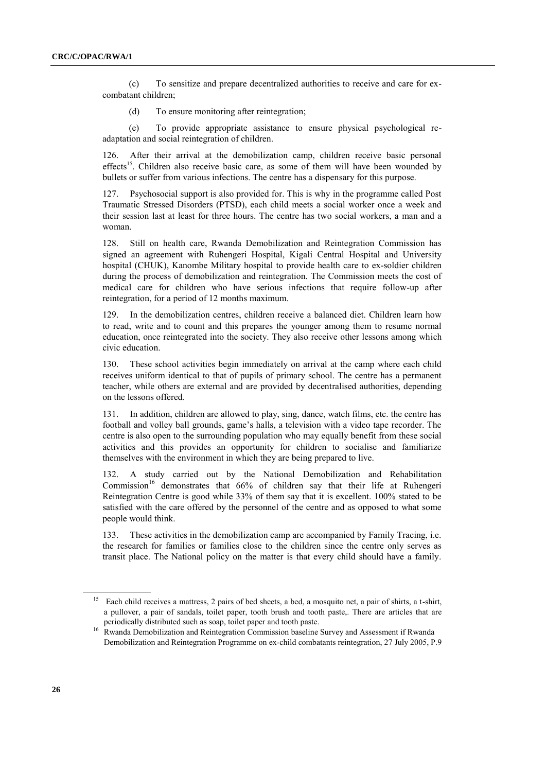(c) To sensitize and prepare decentralized authorities to receive and care for excombatant children;

(d) To ensure monitoring after reintegration;

(e) To provide appropriate assistance to ensure physical psychological readaptation and social reintegration of children.

126. After their arrival at the demobilization camp, children receive basic personal effects<sup>15</sup>. Children also receive basic care, as some of them will have been wounded by bullets or suffer from various infections. The centre has a dispensary for this purpose.

127. Psychosocial support is also provided for. This is why in the programme called Post Traumatic Stressed Disorders (PTSD), each child meets a social worker once a week and their session last at least for three hours. The centre has two social workers, a man and a woman.

128. Still on health care, Rwanda Demobilization and Reintegration Commission has signed an agreement with Ruhengeri Hospital, Kigali Central Hospital and University hospital (CHUK), Kanombe Military hospital to provide health care to ex-soldier children during the process of demobilization and reintegration. The Commission meets the cost of medical care for children who have serious infections that require follow-up after reintegration, for a period of 12 months maximum.

129. In the demobilization centres, children receive a balanced diet. Children learn how to read, write and to count and this prepares the younger among them to resume normal education, once reintegrated into the society. They also receive other lessons among which civic education.

130. These school activities begin immediately on arrival at the camp where each child receives uniform identical to that of pupils of primary school. The centre has a permanent teacher, while others are external and are provided by decentralised authorities, depending on the lessons offered.

131. In addition, children are allowed to play, sing, dance, watch films, etc. the centre has football and volley ball grounds, game's halls, a television with a video tape recorder. The centre is also open to the surrounding population who may equally benefit from these social activities and this provides an opportunity for children to socialise and familiarize themselves with the environment in which they are being prepared to live.

132. A study carried out by the National Demobilization and Rehabilitation Commission<sup>16</sup> demonstrates that  $66\%$  of children say that their life at Ruhengeri Reintegration Centre is good while 33% of them say that it is excellent. 100% stated to be satisfied with the care offered by the personnel of the centre and as opposed to what some people would think.

133. These activities in the demobilization camp are accompanied by Family Tracing, i.e. the research for families or families close to the children since the centre only serves as transit place. The National policy on the matter is that every child should have a family.

<sup>15</sup> Each child receives a mattress, 2 pairs of bed sheets, a bed, a mosquito net, a pair of shirts, a t-shirt, a pullover, a pair of sandals, toilet paper, tooth brush and tooth paste,. There are articles that are periodically distributed such as soap, toilet paper and tooth paste.

<sup>&</sup>lt;sup>16</sup> Rwanda Demobilization and Reintegration Commission baseline Survey and Assessment if Rwanda Demobilization and Reintegration Programme on ex-child combatants reintegration, 27 July 2005, P.9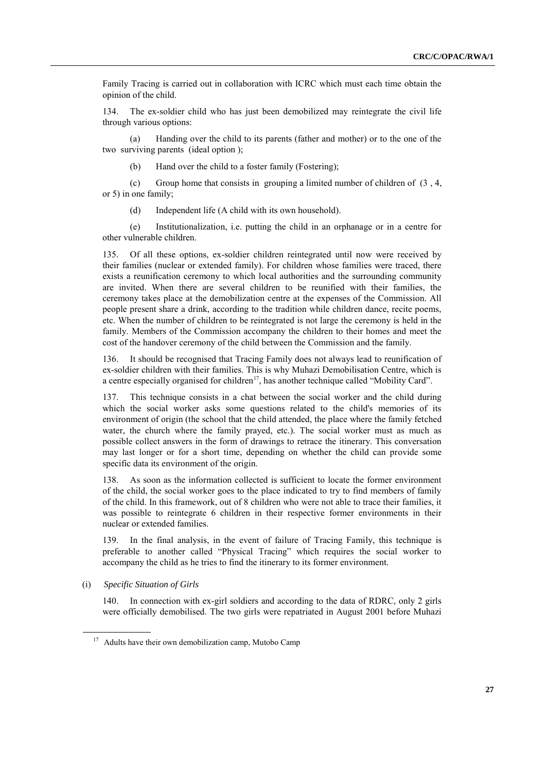Family Tracing is carried out in collaboration with ICRC which must each time obtain the opinion of the child.

134. The ex-soldier child who has just been demobilized may reintegrate the civil life through various options:

(a) Handing over the child to its parents (father and mother) or to the one of the two surviving parents (ideal option );

(b) Hand over the child to a foster family (Fostering);

(c) Group home that consists in grouping a limited number of children of (3 , 4, or 5) in one family;

(d) Independent life (A child with its own household).

(e) Institutionalization, i.e. putting the child in an orphanage or in a centre for other vulnerable children.

135. Of all these options, ex-soldier children reintegrated until now were received by their families (nuclear or extended family). For children whose families were traced, there exists a reunification ceremony to which local authorities and the surrounding community are invited. When there are several children to be reunified with their families, the ceremony takes place at the demobilization centre at the expenses of the Commission. All people present share a drink, according to the tradition while children dance, recite poems, etc. When the number of children to be reintegrated is not large the ceremony is held in the family. Members of the Commission accompany the children to their homes and meet the cost of the handover ceremony of the child between the Commission and the family.

136. It should be recognised that Tracing Family does not always lead to reunification of ex-soldier children with their families. This is why Muhazi Demobilisation Centre, which is a centre especially organised for children<sup>17</sup>, has another technique called "Mobility Card".

137. This technique consists in a chat between the social worker and the child during which the social worker asks some questions related to the child's memories of its environment of origin (the school that the child attended, the place where the family fetched water, the church where the family prayed, etc.). The social worker must as much as possible collect answers in the form of drawings to retrace the itinerary. This conversation may last longer or for a short time, depending on whether the child can provide some specific data its environment of the origin.

138. As soon as the information collected is sufficient to locate the former environment of the child, the social worker goes to the place indicated to try to find members of family of the child. In this framework, out of 8 children who were not able to trace their families, it was possible to reintegrate 6 children in their respective former environments in their nuclear or extended families.

139. In the final analysis, in the event of failure of Tracing Family, this technique is preferable to another called "Physical Tracing" which requires the social worker to accompany the child as he tries to find the itinerary to its former environment.

### (i) *Specific Situation of Girls*

140. In connection with ex-girl soldiers and according to the data of RDRC, only 2 girls were officially demobilised. The two girls were repatriated in August 2001 before Muhazi

<sup>&</sup>lt;sup>17</sup> Adults have their own demobilization camp, Mutobo Camp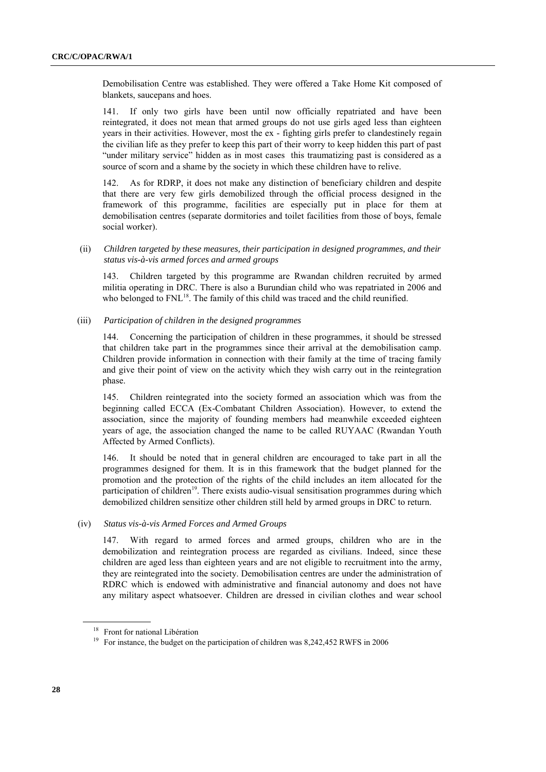Demobilisation Centre was established. They were offered a Take Home Kit composed of blankets, saucepans and hoes.

141. If only two girls have been until now officially repatriated and have been reintegrated, it does not mean that armed groups do not use girls aged less than eighteen years in their activities. However, most the ex - fighting girls prefer to clandestinely regain the civilian life as they prefer to keep this part of their worry to keep hidden this part of past "under military service" hidden as in most cases this traumatizing past is considered as a source of scorn and a shame by the society in which these children have to relive.

142. As for RDRP, it does not make any distinction of beneficiary children and despite that there are very few girls demobilized through the official process designed in the framework of this programme, facilities are especially put in place for them at demobilisation centres (separate dormitories and toilet facilities from those of boys, female social worker).

(ii) *Children targeted by these measures, their participation in designed programmes, and their status vis-à-vis armed forces and armed groups* 

143. Children targeted by this programme are Rwandan children recruited by armed militia operating in DRC. There is also a Burundian child who was repatriated in 2006 and who belonged to FNL<sup>18</sup>. The family of this child was traced and the child reunified.

(iii) *Participation of children in the designed programmes* 

144. Concerning the participation of children in these programmes, it should be stressed that children take part in the programmes since their arrival at the demobilisation camp. Children provide information in connection with their family at the time of tracing family and give their point of view on the activity which they wish carry out in the reintegration phase.

145. Children reintegrated into the society formed an association which was from the beginning called ECCA (Ex-Combatant Children Association). However, to extend the association, since the majority of founding members had meanwhile exceeded eighteen years of age, the association changed the name to be called RUYAAC (Rwandan Youth Affected by Armed Conflicts).

146. It should be noted that in general children are encouraged to take part in all the programmes designed for them. It is in this framework that the budget planned for the promotion and the protection of the rights of the child includes an item allocated for the participation of children<sup>19</sup>. There exists audio-visual sensitisation programmes during which demobilized children sensitize other children still held by armed groups in DRC to return.

(iv) *Status vis-à-vis Armed Forces and Armed Groups*

147. With regard to armed forces and armed groups, children who are in the demobilization and reintegration process are regarded as civilians. Indeed, since these children are aged less than eighteen years and are not eligible to recruitment into the army, they are reintegrated into the society. Demobilisation centres are under the administration of RDRC which is endowed with administrative and financial autonomy and does not have any military aspect whatsoever. Children are dressed in civilian clothes and wear school

<sup>18</sup> Front for national Libération

<sup>&</sup>lt;sup>19</sup> For instance, the budget on the participation of children was 8,242,452 RWFS in 2006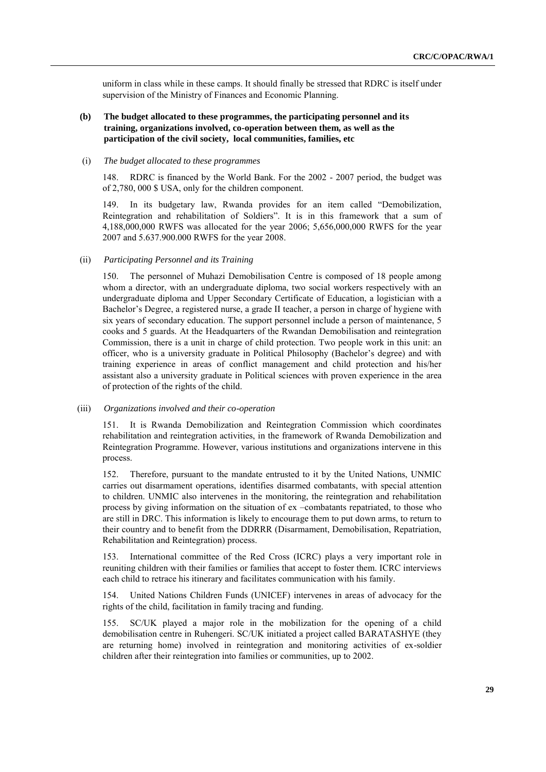uniform in class while in these camps. It should finally be stressed that RDRC is itself under supervision of the Ministry of Finances and Economic Planning.

### **(b) The budget allocated to these programmes, the participating personnel and its training, organizations involved, co-operation between them, as well as the participation of the civil society, local communities, families, etc**

#### (i) *The budget allocated to these programmes*

148. RDRC is financed by the World Bank. For the 2002 - 2007 period, the budget was of 2,780, 000 \$ USA, only for the children component.

149. In its budgetary law, Rwanda provides for an item called "Demobilization, Reintegration and rehabilitation of Soldiers". It is in this framework that a sum of 4,188,000,000 RWFS was allocated for the year 2006; 5,656,000,000 RWFS for the year 2007 and 5.637.900.000 RWFS for the year 2008.

#### (ii) *Participating Personnel and its Training*

150. The personnel of Muhazi Demobilisation Centre is composed of 18 people among whom a director, with an undergraduate diploma, two social workers respectively with an undergraduate diploma and Upper Secondary Certificate of Education, a logistician with a Bachelor's Degree, a registered nurse, a grade II teacher, a person in charge of hygiene with six years of secondary education. The support personnel include a person of maintenance, 5 cooks and 5 guards. At the Headquarters of the Rwandan Demobilisation and reintegration Commission, there is a unit in charge of child protection. Two people work in this unit: an officer, who is a university graduate in Political Philosophy (Bachelor's degree) and with training experience in areas of conflict management and child protection and his/her assistant also a university graduate in Political sciences with proven experience in the area of protection of the rights of the child.

#### (iii) *Organizations involved and their co-operation*

151. It is Rwanda Demobilization and Reintegration Commission which coordinates rehabilitation and reintegration activities, in the framework of Rwanda Demobilization and Reintegration Programme. However, various institutions and organizations intervene in this process.

152. Therefore, pursuant to the mandate entrusted to it by the United Nations, UNMIC carries out disarmament operations, identifies disarmed combatants, with special attention to children. UNMIC also intervenes in the monitoring, the reintegration and rehabilitation process by giving information on the situation of ex –combatants repatriated, to those who are still in DRC. This information is likely to encourage them to put down arms, to return to their country and to benefit from the DDRRR (Disarmament, Demobilisation, Repatriation, Rehabilitation and Reintegration) process.

153. International committee of the Red Cross (ICRC) plays a very important role in reuniting children with their families or families that accept to foster them. ICRC interviews each child to retrace his itinerary and facilitates communication with his family.

154. United Nations Children Funds (UNICEF) intervenes in areas of advocacy for the rights of the child, facilitation in family tracing and funding.

155. SC/UK played a major role in the mobilization for the opening of a child demobilisation centre in Ruhengeri. SC/UK initiated a project called BARATASHYE (they are returning home) involved in reintegration and monitoring activities of ex-soldier children after their reintegration into families or communities, up to 2002.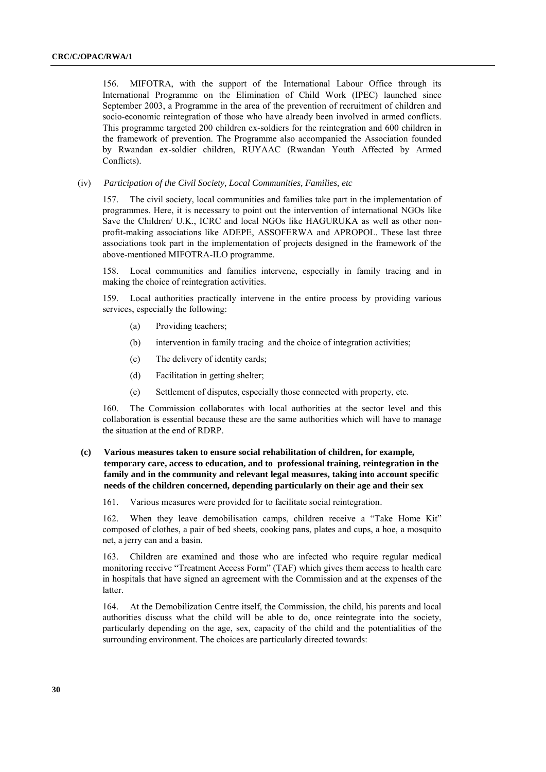156. MIFOTRA, with the support of the International Labour Office through its International Programme on the Elimination of Child Work (IPEC) launched since September 2003, a Programme in the area of the prevention of recruitment of children and socio-economic reintegration of those who have already been involved in armed conflicts. This programme targeted 200 children ex-soldiers for the reintegration and 600 children in the framework of prevention. The Programme also accompanied the Association founded by Rwandan ex-soldier children, RUYAAC (Rwandan Youth Affected by Armed Conflicts).

(iv) *Participation of the Civil Society, Local Communities, Families, etc* 

157. The civil society, local communities and families take part in the implementation of programmes. Here, it is necessary to point out the intervention of international NGOs like Save the Children/ U.K., ICRC and local NGOs like HAGURUKA as well as other nonprofit-making associations like ADEPE, ASSOFERWA and APROPOL. These last three associations took part in the implementation of projects designed in the framework of the above-mentioned MIFOTRA-ILO programme.

158. Local communities and families intervene, especially in family tracing and in making the choice of reintegration activities.

159. Local authorities practically intervene in the entire process by providing various services, especially the following:

- (a) Providing teachers;
- (b) intervention in family tracing and the choice of integration activities;
- (c) The delivery of identity cards;
- (d) Facilitation in getting shelter;
- (e) Settlement of disputes, especially those connected with property, etc.

160. The Commission collaborates with local authorities at the sector level and this collaboration is essential because these are the same authorities which will have to manage the situation at the end of RDRP.

### **(c) Various measures taken to ensure social rehabilitation of children, for example, temporary care, access to education, and to professional training, reintegration in the family and in the community and relevant legal measures, taking into account specific needs of the children concerned, depending particularly on their age and their sex**

161. Various measures were provided for to facilitate social reintegration.

162. When they leave demobilisation camps, children receive a "Take Home Kit" composed of clothes, a pair of bed sheets, cooking pans, plates and cups, a hoe, a mosquito net, a jerry can and a basin.

163. Children are examined and those who are infected who require regular medical monitoring receive "Treatment Access Form" (TAF) which gives them access to health care in hospitals that have signed an agreement with the Commission and at the expenses of the latter.

164. At the Demobilization Centre itself, the Commission, the child, his parents and local authorities discuss what the child will be able to do, once reintegrate into the society, particularly depending on the age, sex, capacity of the child and the potentialities of the surrounding environment. The choices are particularly directed towards: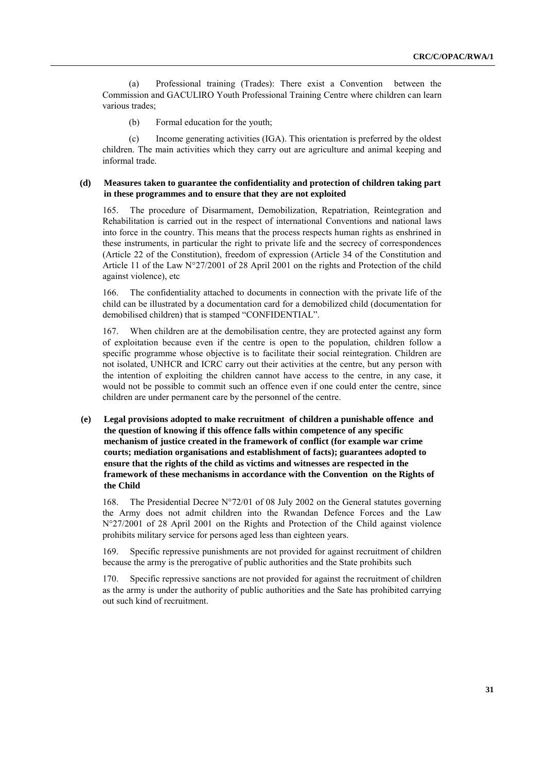(a) Professional training (Trades): There exist a Convention between the Commission and GACULIRO Youth Professional Training Centre where children can learn various trades;

(b) Formal education for the youth;

(c) Income generating activities (IGA). This orientation is preferred by the oldest children. The main activities which they carry out are agriculture and animal keeping and informal trade.

### **(d) Measures taken to guarantee the confidentiality and protection of children taking part in these programmes and to ensure that they are not exploited**

165. The procedure of Disarmament, Demobilization, Repatriation, Reintegration and Rehabilitation is carried out in the respect of international Conventions and national laws into force in the country. This means that the process respects human rights as enshrined in these instruments, in particular the right to private life and the secrecy of correspondences (Article 22 of the Constitution), freedom of expression (Article 34 of the Constitution and Article 11 of the Law N°27/2001 of 28 April 2001 on the rights and Protection of the child against violence), etc

166. The confidentiality attached to documents in connection with the private life of the child can be illustrated by a documentation card for a demobilized child (documentation for demobilised children) that is stamped "CONFIDENTIAL".

167. When children are at the demobilisation centre, they are protected against any form of exploitation because even if the centre is open to the population, children follow a specific programme whose objective is to facilitate their social reintegration. Children are not isolated, UNHCR and ICRC carry out their activities at the centre, but any person with the intention of exploiting the children cannot have access to the centre, in any case, it would not be possible to commit such an offence even if one could enter the centre, since children are under permanent care by the personnel of the centre.

**(e) Legal provisions adopted to make recruitment of children a punishable offence and the question of knowing if this offence falls within competence of any specific mechanism of justice created in the framework of conflict (for example war crime courts; mediation organisations and establishment of facts); guarantees adopted to ensure that the rights of the child as victims and witnesses are respected in the framework of these mechanisms in accordance with the Convention on the Rights of the Child**

168. The Presidential Decree N°72/01 of 08 July 2002 on the General statutes governing the Army does not admit children into the Rwandan Defence Forces and the Law N°27/2001 of 28 April 2001 on the Rights and Protection of the Child against violence prohibits military service for persons aged less than eighteen years.

169. Specific repressive punishments are not provided for against recruitment of children because the army is the prerogative of public authorities and the State prohibits such

170. Specific repressive sanctions are not provided for against the recruitment of children as the army is under the authority of public authorities and the Sate has prohibited carrying out such kind of recruitment.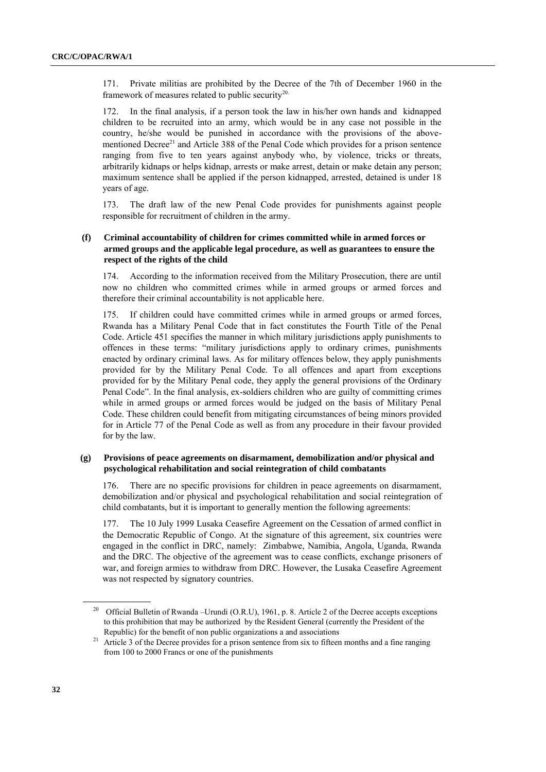171. Private militias are prohibited by the Decree of the 7th of December 1960 in the framework of measures related to public security<sup>20.</sup>

172. In the final analysis, if a person took the law in his/her own hands and kidnapped children to be recruited into an army, which would be in any case not possible in the country, he/she would be punished in accordance with the provisions of the abovementioned Decree<sup>21</sup> and Article 388 of the Penal Code which provides for a prison sentence ranging from five to ten years against anybody who, by violence, tricks or threats, arbitrarily kidnaps or helps kidnap, arrests or make arrest, detain or make detain any person; maximum sentence shall be applied if the person kidnapped, arrested, detained is under 18 years of age.

173. The draft law of the new Penal Code provides for punishments against people responsible for recruitment of children in the army.

### **(f) Criminal accountability of children for crimes committed while in armed forces or armed groups and the applicable legal procedure, as well as guarantees to ensure the respect of the rights of the child**

174. According to the information received from the Military Prosecution, there are until now no children who committed crimes while in armed groups or armed forces and therefore their criminal accountability is not applicable here.

175. If children could have committed crimes while in armed groups or armed forces, Rwanda has a Military Penal Code that in fact constitutes the Fourth Title of the Penal Code. Article 451 specifies the manner in which military jurisdictions apply punishments to offences in these terms: "military jurisdictions apply to ordinary crimes, punishments enacted by ordinary criminal laws. As for military offences below, they apply punishments provided for by the Military Penal Code. To all offences and apart from exceptions provided for by the Military Penal code, they apply the general provisions of the Ordinary Penal Code". In the final analysis, ex-soldiers children who are guilty of committing crimes while in armed groups or armed forces would be judged on the basis of Military Penal Code. These children could benefit from mitigating circumstances of being minors provided for in Article 77 of the Penal Code as well as from any procedure in their favour provided for by the law.

### **(g) Provisions of peace agreements on disarmament, demobilization and/or physical and psychological rehabilitation and social reintegration of child combatants**

176. There are no specific provisions for children in peace agreements on disarmament, demobilization and/or physical and psychological rehabilitation and social reintegration of child combatants, but it is important to generally mention the following agreements:

177. The 10 July 1999 Lusaka Ceasefire Agreement on the Cessation of armed conflict in the Democratic Republic of Congo. At the signature of this agreement, six countries were engaged in the conflict in DRC, namely: Zimbabwe, Namibia, Angola, Uganda, Rwanda and the DRC. The objective of the agreement was to cease conflicts, exchange prisoners of war, and foreign armies to withdraw from DRC. However, the Lusaka Ceasefire Agreement was not respected by signatory countries.

<sup>&</sup>lt;sup>20</sup> Official Bulletin of Rwanda –Urundi (O.R.U), 1961, p. 8. Article 2 of the Decree accepts exceptions to this prohibition that may be authorized by the Resident General (currently the President of the Republic) for the benefit of non public organizations a and associations

<sup>&</sup>lt;sup>21</sup> Article 3 of the Decree provides for a prison sentence from six to fifteen months and a fine ranging from 100 to 2000 Francs or one of the punishments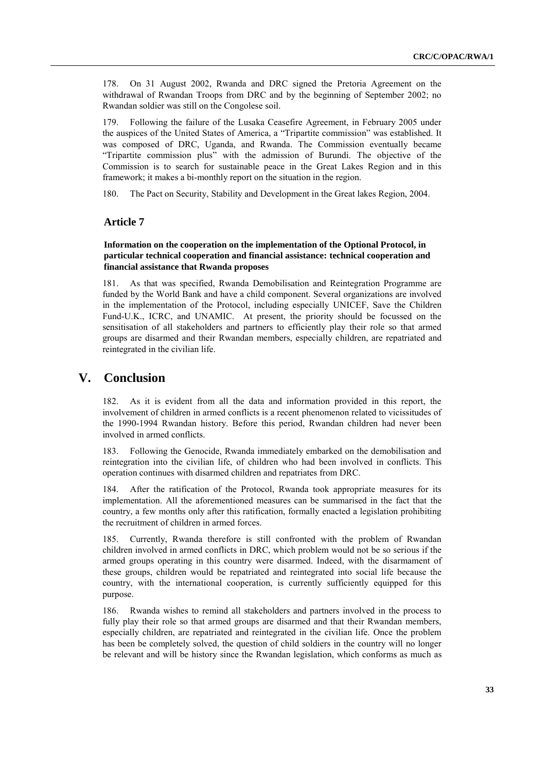178. On 31 August 2002, Rwanda and DRC signed the Pretoria Agreement on the withdrawal of Rwandan Troops from DRC and by the beginning of September 2002; no Rwandan soldier was still on the Congolese soil.

179. Following the failure of the Lusaka Ceasefire Agreement, in February 2005 under the auspices of the United States of America, a "Tripartite commission" was established. It was composed of DRC, Uganda, and Rwanda. The Commission eventually became "Tripartite commission plus" with the admission of Burundi. The objective of the Commission is to search for sustainable peace in the Great Lakes Region and in this framework; it makes a bi-monthly report on the situation in the region.

180. The Pact on Security, Stability and Development in the Great lakes Region, 2004.

### **Article 7**

### **Information on the cooperation on the implementation of the Optional Protocol, in particular technical cooperation and financial assistance: technical cooperation and financial assistance that Rwanda proposes**

181. As that was specified, Rwanda Demobilisation and Reintegration Programme are funded by the World Bank and have a child component. Several organizations are involved in the implementation of the Protocol, including especially UNICEF, Save the Children Fund-U.K., ICRC, and UNAMIC. At present, the priority should be focussed on the sensitisation of all stakeholders and partners to efficiently play their role so that armed groups are disarmed and their Rwandan members, especially children, are repatriated and reintegrated in the civilian life.

# **V. Conclusion**

182. As it is evident from all the data and information provided in this report, the involvement of children in armed conflicts is a recent phenomenon related to vicissitudes of the 1990-1994 Rwandan history. Before this period, Rwandan children had never been involved in armed conflicts.

183. Following the Genocide, Rwanda immediately embarked on the demobilisation and reintegration into the civilian life, of children who had been involved in conflicts. This operation continues with disarmed children and repatriates from DRC.

184. After the ratification of the Protocol, Rwanda took appropriate measures for its implementation. All the aforementioned measures can be summarised in the fact that the country, a few months only after this ratification, formally enacted a legislation prohibiting the recruitment of children in armed forces.

185. Currently, Rwanda therefore is still confronted with the problem of Rwandan children involved in armed conflicts in DRC, which problem would not be so serious if the armed groups operating in this country were disarmed. Indeed, with the disarmament of these groups, children would be repatriated and reintegrated into social life because the country, with the international cooperation, is currently sufficiently equipped for this purpose.

186. Rwanda wishes to remind all stakeholders and partners involved in the process to fully play their role so that armed groups are disarmed and that their Rwandan members, especially children, are repatriated and reintegrated in the civilian life. Once the problem has been be completely solved, the question of child soldiers in the country will no longer be relevant and will be history since the Rwandan legislation, which conforms as much as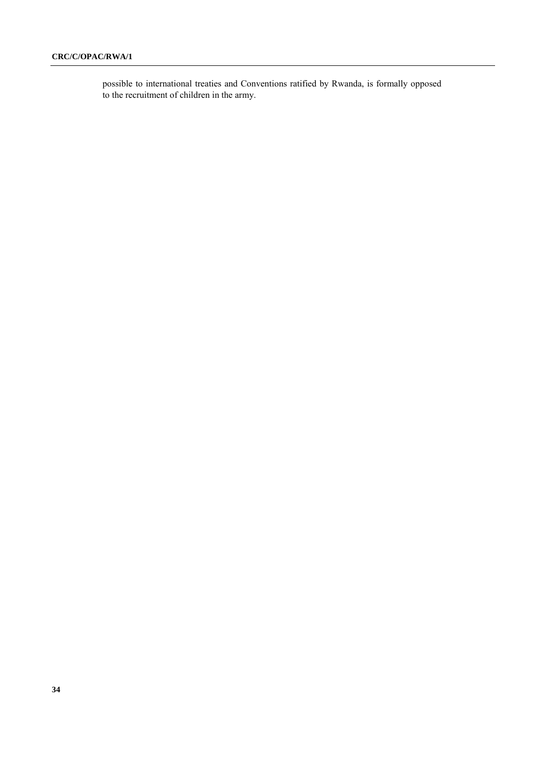possible to international treaties and Conventions ratified by Rwanda, is formally opposed to the recruitment of children in the army.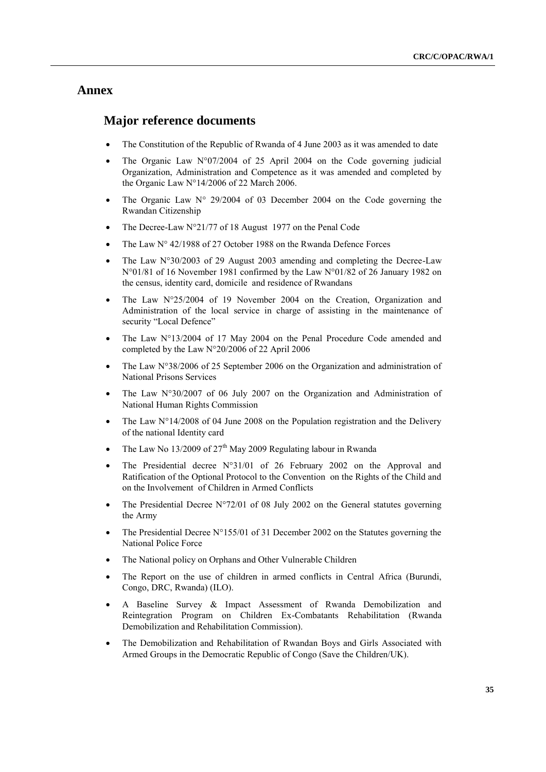# **Annex**

### **Major reference documents**

- The Constitution of the Republic of Rwanda of 4 June 2003 as it was amended to date
- The Organic Law N°07/2004 of 25 April 2004 on the Code governing judicial Organization, Administration and Competence as it was amended and completed by the Organic Law N°14/2006 of 22 March 2006.
- The Organic Law N° 29/2004 of 03 December 2004 on the Code governing the Rwandan Citizenship
- The Decree-Law N°21/77 of 18 August 1977 on the Penal Code
- The Law N° 42/1988 of 27 October 1988 on the Rwanda Defence Forces
- The Law N°30/2003 of 29 August 2003 amending and completing the Decree-Law N°01/81 of 16 November 1981 confirmed by the Law N°01/82 of 26 January 1982 on the census, identity card, domicile and residence of Rwandans
- The Law N°25/2004 of 19 November 2004 on the Creation, Organization and Administration of the local service in charge of assisting in the maintenance of security "Local Defence"
- The Law N°13/2004 of 17 May 2004 on the Penal Procedure Code amended and completed by the Law N°20/2006 of 22 April 2006
- The Law N°38/2006 of 25 September 2006 on the Organization and administration of National Prisons Services
- The Law N°30/2007 of 06 July 2007 on the Organization and Administration of National Human Rights Commission
- The Law N°14/2008 of 04 June 2008 on the Population registration and the Delivery of the national Identity card
- The Law No 13/2009 of  $27<sup>th</sup>$  May 2009 Regulating labour in Rwanda
- The Presidential decree N°31/01 of 26 February 2002 on the Approval and Ratification of the Optional Protocol to the Convention on the Rights of the Child and on the Involvement of Children in Armed Conflicts
- The Presidential Decree N°72/01 of 08 July 2002 on the General statutes governing the Army
- The Presidential Decree N°155/01 of 31 December 2002 on the Statutes governing the National Police Force
- The National policy on Orphans and Other Vulnerable Children
- The Report on the use of children in armed conflicts in Central Africa (Burundi, Congo, DRC, Rwanda) (ILO).
- A Baseline Survey & Impact Assessment of Rwanda Demobilization and Reintegration Program on Children Ex-Combatants Rehabilitation (Rwanda Demobilization and Rehabilitation Commission).
- The Demobilization and Rehabilitation of Rwandan Boys and Girls Associated with Armed Groups in the Democratic Republic of Congo (Save the Children/UK).